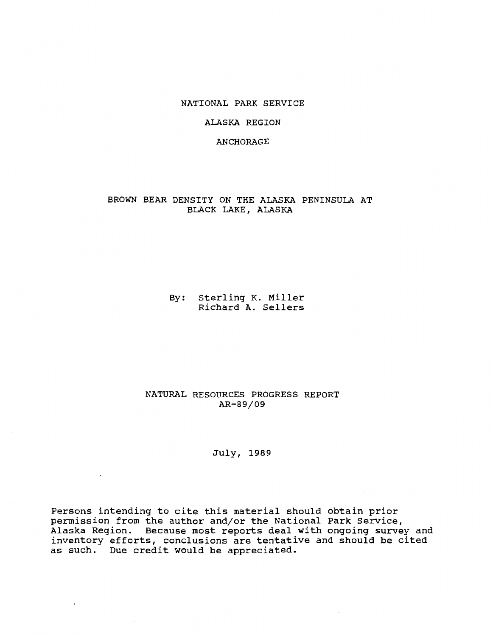## NATIONAL PARK SERVICE

## ALASKA REGION

## ANCHORAGE

## BROWN BEAR DENSITY ON THE ALASKA PENINSULA AT BLACK LAKE, ALASKA

By: Sterling K. Miller Richard A. Sellers

## NATURAL RESOURCES PROGRESS REPORT AR-89/09

July, 1989

 $\sim 10$ 

 $\sim 10^{-11}$ 

 $\epsilon$ 

Persons intending to cite this material should obtain prior permission from the author and/or the National Park Service, Alaska Region. Because most reports deal with ongoing survey and inventory efforts, conclusions are tentative and should be cited as such. Due credit would be appreciated.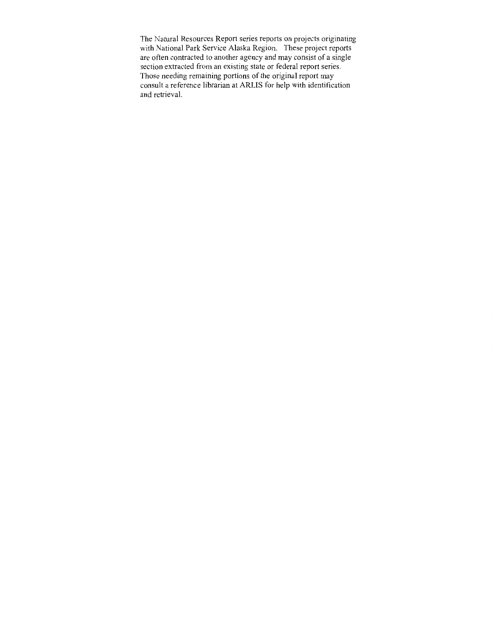The Natural Resources Report series reports on projects originating with National Park Service Alaska Region. These project reports are often contracted to another agency and may consist of a single section extracted from an existing state or federal report series. Those needing remaining portions of the original report may consult a reference librarian at ARLIS for help with identification and retrieval.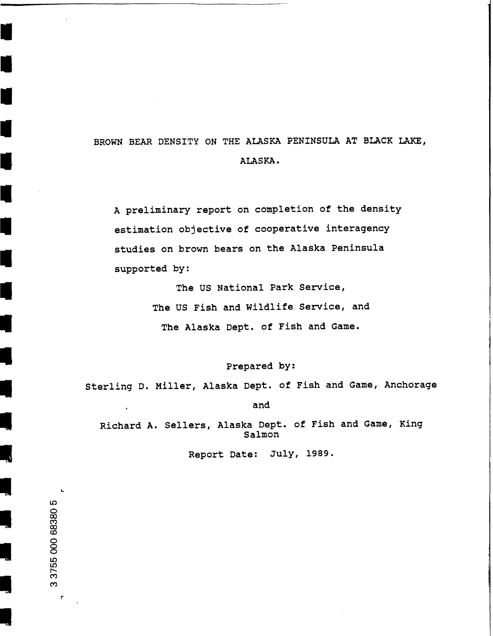## BROWN BEAR DENSITY ON THE ALASKA PENINSULA AT BLACK LAKE, ALASKA.

A preliminary report on completion of the density estimation objective of cooperative interagency studies on brown bears on the Alaska Peninsula supported by:

> The US National Park Service, The US Fish and Wildlife Service, and The Alaska Dept. of Fish and Game.

> > Prepared by:

Sterling D. Miller, Alaska Dept. of Fish and Game, Anchorage

and

Richard A. Sellers, Alaska Dept. of Fish and Game, King Salmon

Report Date: July, 1989.

r

L

I

I

I

I

I

I

t

I

I

I

-<br>.<br>.

-<br>.<br>.

-<br>-<br>-

-

-<br>-<br>-

- 1<br>- 1<br>- 1<br>- 1

-

-

-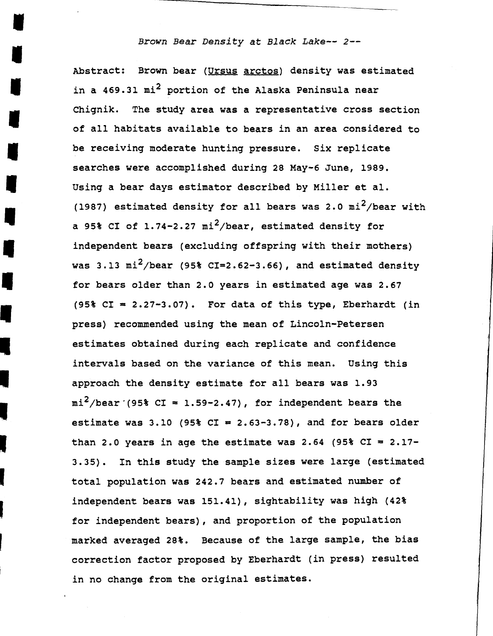## *Brown Bear Density at Black Lake-- 2-*

I

I

I

I

l,

Abstract: Brown bear (Ursus arctos) density was estimated in a 469.31  $mi^2$  portion of the Alaska Peninsula near Chignik. The study area was a representative cross section of all habitats available to bears in an area considered to be receiving moderate hunting pressure. Six replicate searches were accomplished during 28 May-6 June, 1989. Using a bear days estimator described by Miller et al.<br>(1987) estimated density for all bears was 2.0 mi<sup>2</sup>/bear with a 95% CI of 1.74-2.27 mi<sup>2</sup>/bear, estimated density for<br>independent bears (excluding offspring with their mothers) was 3.13 mi<sup>2</sup>/bear (95% CI=2.62-3.66), and estimated density for bears older than 2.0 years in estimated age was 2.67 was 3.13 m1-/bear (95% CI=2.62-3.66), and estimated density<br>for bears older than 2.0 years in estimated age was 2.67<br>(95% CI = 2.27-3.07). For data of this type, Eberhardt (in (95%  $CI = 2.27-3.07$ ). For data of this type, Eberhardt press) recommended using the mean of Lincoln-Petersen estimates obtained during each replicate and confidence intervals based on the variance of this mean. Using this approach the density estimate for all bears was 1.93  $mi^2$ /bear<sup>·</sup>(95% CI = 1.59-2.47), for independent bears the estimate was 3.10 (95% CI = 2.63-3.78), and for bears older than 2.0 years in age the estimate was 2.64 (95% CI =  $2.17-$ 3.35). In this study the sample sizes were large (estimated total population was 242.7 bears and estimated number of independent bears was 151.41), sightability was high (42%)<br>for independent bears), and proportion of the population marked averaged 28%. Because of the large sample, the bias correction factor proposed by Eberhardt (in press) resulted in no change from the original estimates.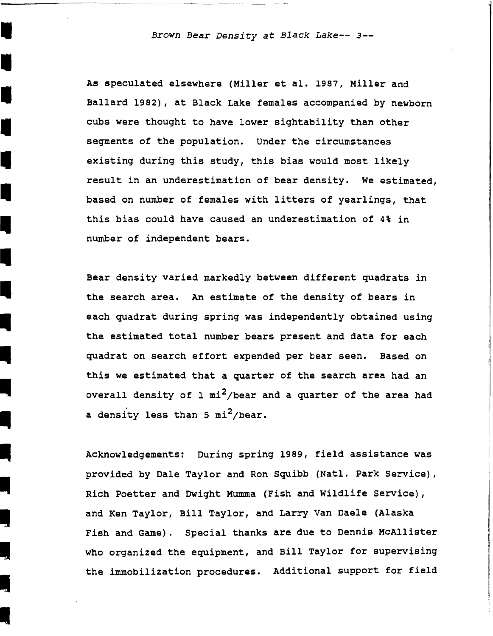I *Brown Bear Density at Black Lake-- 3-*

As speculated elsewhere (Miller et al. 1987, Miller and<br>Ballard 1982), at Black Lake females accompanied by newborn cubs were thought to have lower sightability than other segments of the population. Under the circumstances existing during this study, this bias would most likely<br>
result in an underestimation of bear density. We estimated,<br>
hased on number of females with litters of vearlings, that based on number of females with litters of yearlings, that this bias could have caused an underestimation of 4% in number of independent bears.

-<br>-<br>-

I

I

-<br>-<br>-

-

-<br>-<br>-<br>-

-

-<br>-<br>-

-<br>-<br>-

-<br>-<br>-

 $\frac{1}{2}$ 

 $\frac{1}{2}$ 

Bear density varied markedly between different quadrats in the search area. An estimate of the density of bears in each quadrat during spring was independently obtained using the estimated total number bears present and data for each quadrat on search effort expended per bear seen. Based on this we estimated that a quarter of the search area had an overall density of 1  $mi^2$ /bear and a quarter of the area had a density less than 5  $\text{mi}^2$ /bear.

Acknowledgements: During spring 1989, field assistance was provided by Dale Taylor and Ron Squibb (Natl. Park Service), Rich Poetter and Dwight Mumma (Fish and Wildlife Service), and Ken Taylor, Bill Taylor, and Larry Van Daele (Alaska<br>
Fish and Game). Special thanks are due to Dennis McAllister<br>
who organized the equipment, and Bill Taylor for supervising Fish and Game). Special thanks are due to Dennis McAllister the immobilization procedures. Additional support for field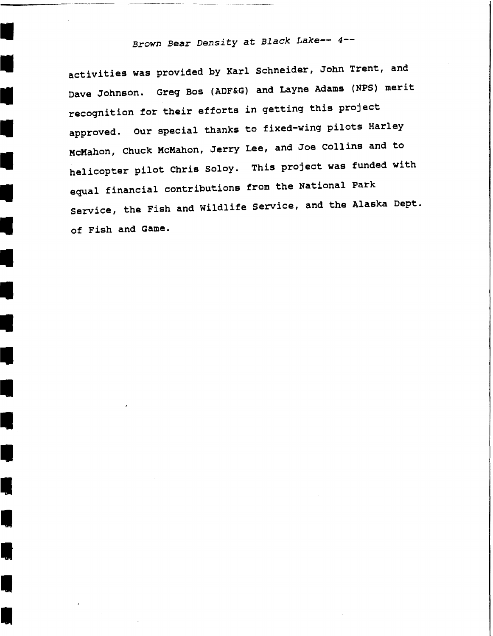# *Brown Bear Density at Black Lake-- 4--*

----------------------

I

I

•<br>•

•

•

•

•

•

•

•

**II** 

**II** 

l<br>III<br>III

I

**I** 

**II** 

I,

•

activities was provided by Karl schneider, John Trent, and Dave Johnson. Greq Bos (ADF&G) and Layne Adams (NPS) merit recognition for their efforts in qettinq this project approved. our special thanks to fixed-winq pilots Harley McMahon, Chuck McMahon, Jerry Lee, and Joe Collins and to helicopter pilot Chris Soloy. This project was funded with equal financial contributions from the National Park Service, the Fish and Wildlife Service, and the Alaska Dept. of Fish and Game.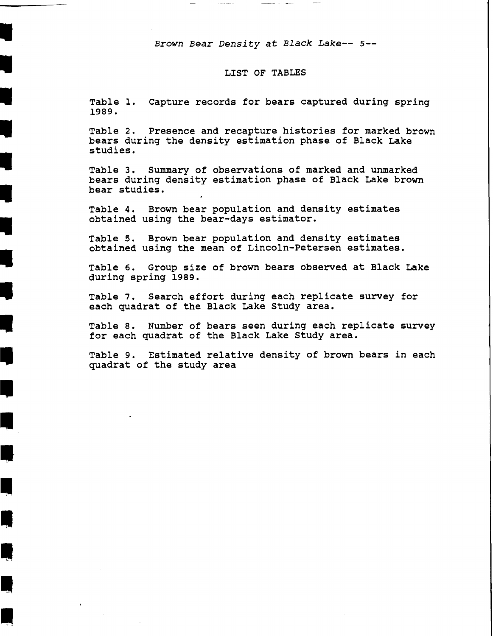*Brown Bear Density at Black Lake-- 5-*

I

II

II

II

II

II

II

•

•

•

•<br>•

**I** 

**II·** 

<u>I</u>

**III** 

•

## LIST OF TABLES

Table 1. Capture records for bears captured during spring 1989.

Table 2. Presence and recapture histories for marked brown bears during the density estimation phase of Black Lake studies.

Table 3. Summary of observations of marked and unmarked bears during density estimation phase of Black Lake brown bear studies.

Table 4. Brown bear population and density estimates obtained using the bear-days estimator.

Table 5. Brown bear population and density estimates obtained using the mean of Lincoln-Petersen estimates.

Table 6. Group size of brown bears observed at Black Lake during spring 1989 •

Table 7. Search effort during each replicate survey for each quadrat of the Black Lake Study area.

Table a. Number of bears seen during each replicate survey for each quadrat of the Black Lake Study area •

Table 9. Estimated relative density of brown bears in each quadrat of the study area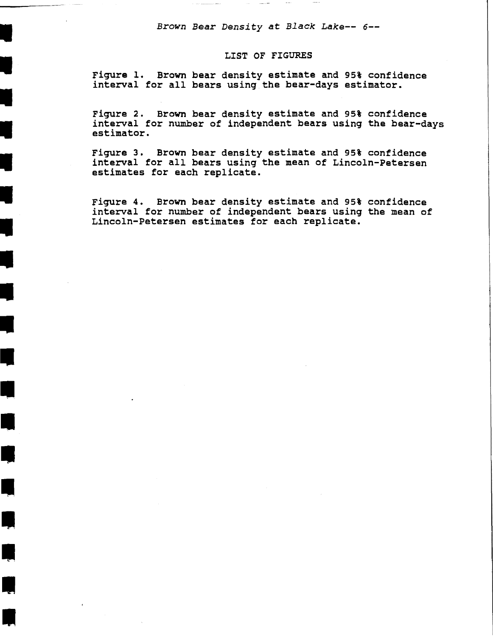*Brown* Bear *Density* at *Black Lake-- 6-*

 $\sim 100$  mass  $^{-1}$ 

I

I

I

I

I

I

I

•

•

•

•

•

**4** 

**•** 

•

•

•

#### LIST OF FIGURES

Figure 1. Brown bear density estimate and 95% confidence interval for all bears using the bear-days estimator.

Figure 2. Brown bear density estimate and 95% confidence interval for number of independent bears using the bear-days estimator.

Figure 3. Brown bear density estimate and 95% confidence interval for all bears using the mean of Lincoln-Petersen estimates for each replicate.

Figure 4. Brown bear density estimate and 95% confidence interval for number of independent bears using the mean of Lincoln-Petersen estimates for each replicate.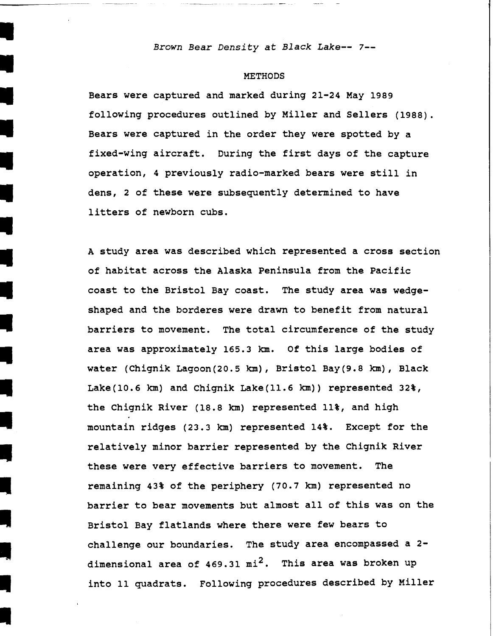*Brown Bear Density at Black Lake--* 7-

I

I

I

I

I

I

I

•

•

Ill

II

II

Ill

**I** 

I,

**II** 

I,

•

#### **METHODS**

Bears were captured and marked during 21-24 May 1989 following procedures outlined by Miller and Sellers (1988). Bears were captured in the order they were spotted by a fixed-wing aircraft. During the first days of the capture operation, 4 previously radio-marked bears were still in dens, 2 of these were subsequently determined to have litters of newborn cubs.

A study area was described which represented a cross section of habitat across the Alaska Peninsula from the Pacific coast to the Bristol Bay coast. The study area was wedgeshaped and the borderes were drawn to benefit from natural barriers to movement. The total circumference of the study area was approximately 165.3 km. Of this large bodies of water (Chignik Lagoon(20.5 km), Bristol Bay(9.8 km), Black Lake(l0.6 km) and Chignik Lake(ll.6 km)) represented 32%, the Chignik River (18.8 km) represented 11%, and high mountain ridges (23.3 km) represented 14%. Except for the relatively minor barrier represented by the Chignik River these were very effective barriers to movement. The remaining 43% of the periphery (70.7 km) represented no barrier to bear movements but almost all of this was on the Bristol Bay flatlands where there were few bears to challenge our boundaries. The study area encompassed a 2 dimensional area of  $469.31$   $mi^2$ . This area was broken up into 11 quadrats. Following procedures described by Miller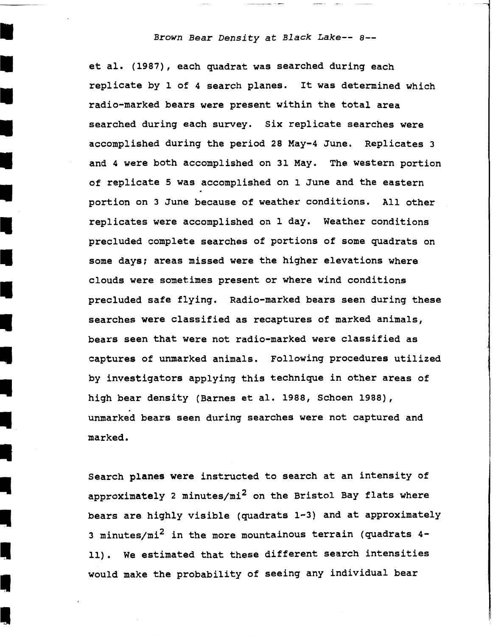## *Brown Bear Density at Black Lake--* a-

I

I

I

I

I

I

**i** 

I

I

**I** 

**I** 

**I** 

**I** 

I.

**I** 

I

 $\mathbf{I}$ 

I,

I

et al. (1987), each quadrat was searched during each replicate by 1 of 4 search planes. It was determined which radio-marked bears were present within the total area searched during each survey. six replicate searches were accomplished during the period 28 May-4 June. Replicates 3 and 4 were both accomplished on 31 May. The western portion of replicate 5 was accomplished on 1 June and the eastern portion on 3 June because of weather conditions. All other replicates were accomplished on 1 day. Weather conditions precluded complete searches of portions of some quadrats on some days; areas missed were the higher elevations where clouds were sometimes present or where wind conditions precluded safe flying. Radio-marked bears seen during these searches were classified as recaptures of marked animals, bears seen that were not radio-marked were classified as captures of unmarked animals. Following procedures utilized by investigators applying this technique in other areas of high bear density (Barnes et al. 1988, Schoen 1988), unmarked bears seen during searches were not captured and marked.

Search planes were instructed to search at an intensity of approximately 2 minutes/ $mi^2$  on the Bristol Bay flats where bears are highly visible (quadrats 1-3) and at approximately 3 minutes/ $mi^2$  in the more mountainous terrain (quadrats 4- 11). We estimated that these different search intensities would make the probability of seeing any individual bear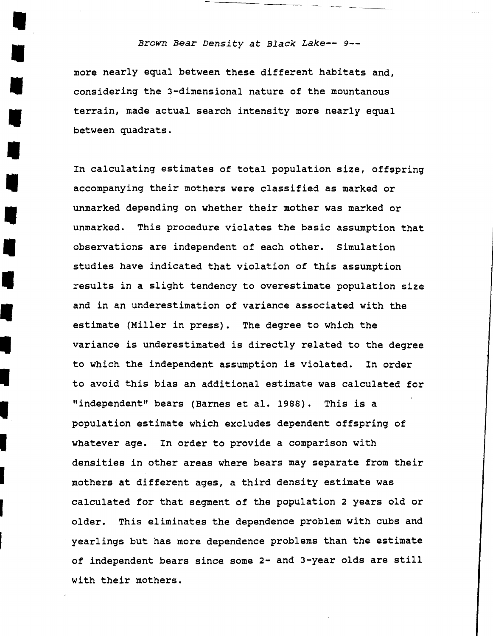#### • *Brown Bear Density at Black Lake-- 9-*

more nearly equal between these different habitats and, I considering the 3-dimensional nature of the mountanous terrain, made actual search intensity more nearly equal between quadrats.

**I** 

**U** 

I

**U** 

I

I

In calculating estimates of total population size, offspring accompanying their mothers were classified as marked or unmarked depending on whether their mother was marked or unmarked. This procedure violates the basic assumption that observations are independent of each other. Simulation studies have indicated that violation of this assumption esults in a slight tendency to overestimate population size and in an underestimation of variance associated with the estimate (Miller in press). The degree to which the variance is underestimated is directly related to th variance is underestimated is directly related to the degree<br>to which the independent assumption is violated. In order to which the independent assumption is violated. to avoid this bias an additional estimate was calculated for<br>"independent" bears (Barnes et al. 1988). This is a population estimate which excludes dependent offspring of whatever age. In order to provide a comparison with densities in other areas where bears may separate from their mothers at different ages, a third density estimate was calculated for that segment of the population 2 years old or older. This eliminates the dependence problem with cubs and yearlings but has more dependence problems than the estimate of independent bears since some 2- and 3-year olds are still with their mothers.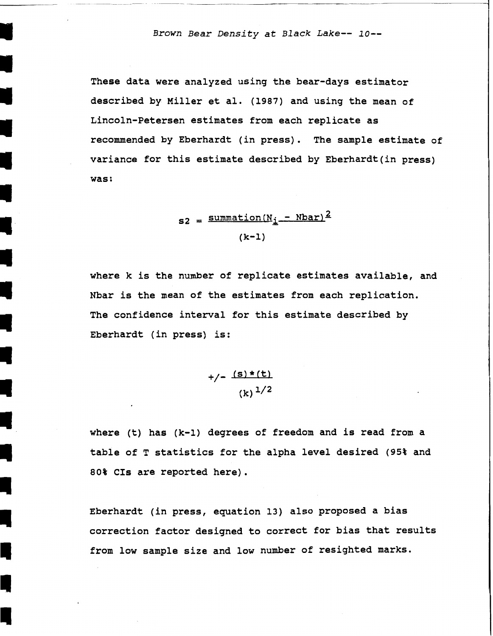• *Brown Bear Density at Black Lake-- 10-*

---------

•

I

II

I

II

Ill

**Il** 

Ill

These data were analyzed using the bear-days estimator described by Miller et al. (1987) and using the mean of Lincoln-Petersen estimates from each replicate as recommended by Eberhardt (in press). The sample estimate of variance for this estimate described by Eberhardt(in press) was:

> $s_2 = \frac{\text{summation}(N_i - \text{Nbar})^2}{\text{S}^2}$ (k-1)

where k is the number of replicate estimates available, and Nbar is the mean of the estimates from each replication. The confidence interval for this estimate described by<br>Eberhardt (in press) is:

 $+/-$  (s) \* (t)  $(k)$ <sup>1/2</sup>

where (t) has  $(k-1)$  degrees of freedom and is read from a table of T statistics for the alpha level desired (95% and 80% Cis are reported here).

> Eberhardt (in press, equation 13) also proposed a bias<br>Incorrection factor designed to correct for bias that results from low sample size and low number of resighted marks.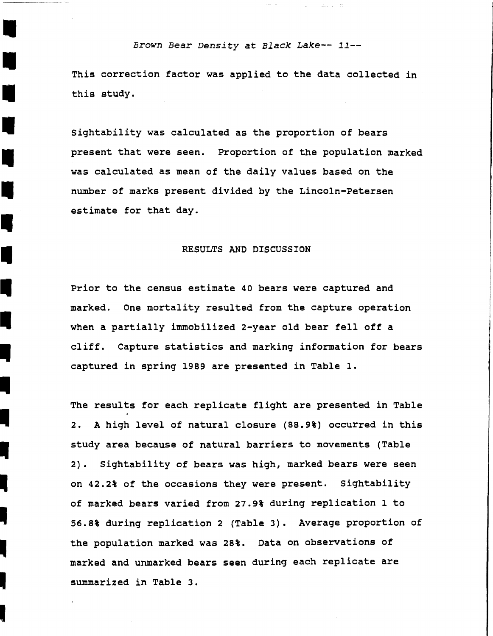## *Brown Bear Density at Black Lake-- 11-*

 $\sim 25$  ,  $\sim 3.2$  ,  $\sim 72$ 

I

I

II

**I** 

**i** 

II

II

**-**<br>-

I

·---00M·-

This correction factor was applied to the data collected in this study.

Sightability was calculated as the proportion of bears present that were seen. Proportion of the population marked was calculated as mean of the daily values based on the number of marks present divided by the Lincoln-Petersen estimate for that day.

#### RESULTS AND DISCUSSION

Prior to the census estimate 40 bears were captured and marked. One mortality resulted from the capture operation when a partially immobilized 2-year old bear fell off a cliff. Capture statistics and marking information for bears captured in spring 1989 are presented in Table 1.

The results for each replicate flight are presented in Table 2. A high level of natural closure (88.9%) occurred in this study area because of natural barriers to movements {Table 2). Sightability of bears was high, marked bears were seen on 42.2% of the occasions they were present. Sightability of marked bears varied from 27.9% during replication 1 to 56.8% during replication 2 (Table 3). Average proportion of<br>the population marked was 28%. Data on observations of marked and unmarked bears seen during each replicate are summarized in Table 3.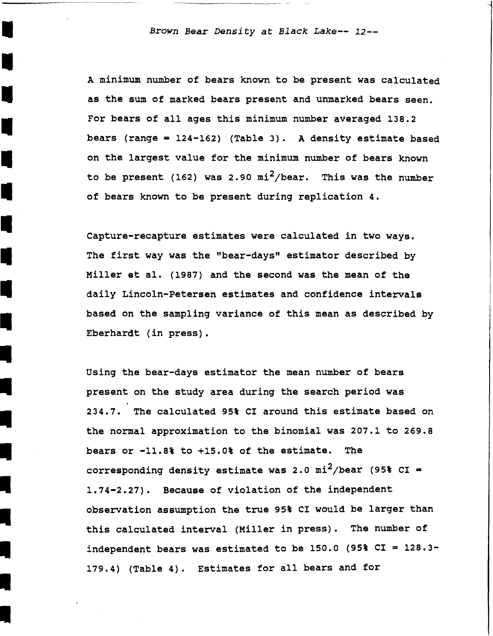I *Brown Bear Density at Black Lake-- 12-*

I

-<br>-<br>-

I

-<br>4<br>-

-<br>-<br>-

I

I<br>I

A minimum number of bears known to be present was calculated as the sum of marked bears present and unmarked bears seen. For bears of all ages this minimum number averaged 138.2<br>bears (range = 124-162) (Table 3). A density estimate based on the largest value for the minimum number of bears known to be present (162) was 2.90  $mi^2/bear$ . This was the number of bears known to be present during replication 4.

Capture-recapture estimates were calculated in two ways. The first way was the "bear-days" estimator described by Miller et al. (1987) and the second was the mean of the daily Lincoln-Petersen estimates and confidence intervals based on the sampling variance of this mean as described by and 1 december 2001<br>based on the sampling<br>Eberhardt (in press).

> Using the bear-days estimator the mean number of bears present on the study area during the search period was 234.7. The calculated 95% CI around this estimate based on the normal approximation to the binomial was 207.1 to 269.8 bears or -11.8% to +15.0% of the estimate. The corresponding density estimate was 2.0 mi<sup>2</sup>/bear (95% CI = 1.74-2.27). Because of violation of the independent observation assumption the true 95% CI would be larger than this calculated interval (Miller in press). The number of independent bears was estimated to be  $150.0$  (95% CI =  $128.3-$ 179.4) (Table 4). Estimates for all bears and for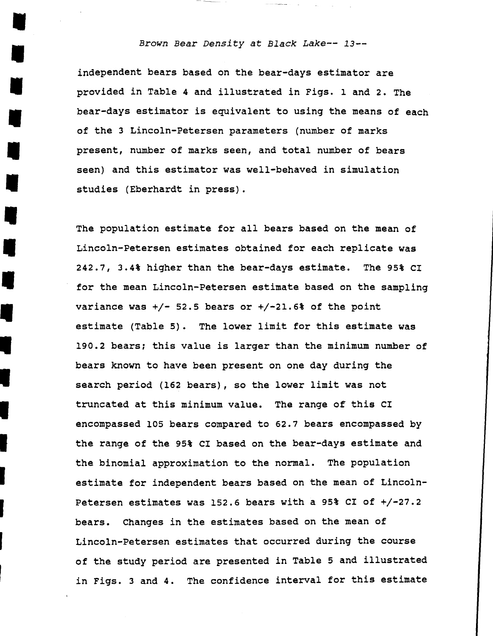## • *Brown Bear Density at Black Lake-- 13-*

independent bears based on the bear-days estimator are provided in Table 4 and illustrated in Figs. 1 and 2. The bear-days estimator is equivalent to using the means of each of the 3 Lincoln-Petersen parameters (number of marks present, number of marks seen, and total number of bears seen) and this estimator was well-behaved in simulation studies (Eberhardt in press).

I

•

•

I

I

•

The population estimate for all bears based on the mean of Lincoln-Petersen estimates obtained for each replicate was 242.7, 3.4% higher than the bear-days estimate. The 95% CI for the mean Lincoln-Petersen estimate based on the sampling variance was +/- 52.5 bears or +/-21.6% of the point<br>estimate (Table 5). The lower limit for this estimat<br>190.2 bears: this value is larger than the minimum nu estimate (Table 5). The lower limit for this estimate was 190.2 bears; this value is larger than the minimum number of bears known to have been present on one day during the search period (162 bears), so the lower limit was not truncated at this minimum value. The range of this CI encompassed 105 bears compared to 62.7 bears encompassed by the range of the 95% CI based on the bear-days estimate and the binomial approximation to the normal. The population estimate for independent bears based on the mean of Lincoln-Petersen estimates was 152.6 bears with a 95% CI of +/-27.2 bears. Changes in the estimates based on the mean of Lincoln-Petersen estimates that occurred during the course of the study period are presented in Table 5 and illustrated in Figs. 3 and 4. The confidence interval for this estimate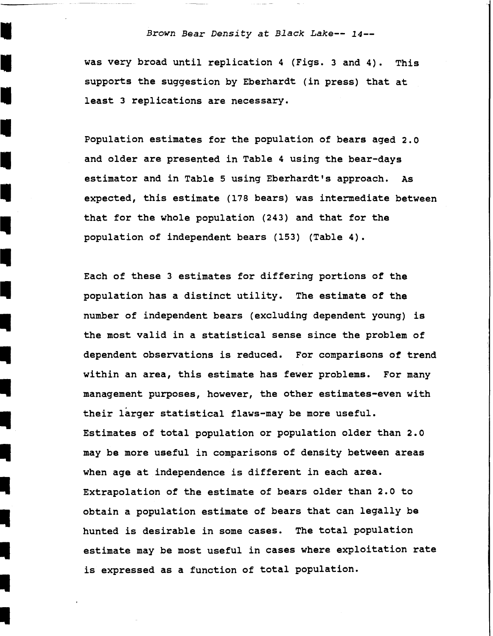## *Brown Bear Density at Black Lake-- 14-*

was very broad until replication 4 (Figs. 3 and 4). This supports the suggestion by Eberhardt (in press) that at least 3 replications are necessary.

Population estimates for the population of bears aged 2.0 and older are presented in Table 4 using the bear-days estimator and in Table 5 using Eberhardt's approach. As expected, this estimate (178 bears) was intermediate between that for the whole population (243) and that for the population of independent bears (153) (Table 4).

Each of these 3 estimates for differing portions of the population has a distinct utility. The estimate of the number of independent bears (excluding dependent young) is the most valid in a statistical sense since the problem of dependent observations is reduced. For comparisons of trend within an area, this estimate has fewer problems. For many management purposes, however, the other estimates-even with their larger statistical flaws-may be more useful. Estimates of total population or population older than 2.0 may be more useful in comparisons of density between areas when age at independence is different in each area. Extrapolation of the estimate of bears older than 2.0 to obtain a population estimate of bears that can legally be hunted is desirable in some cases. The total population estimate may be most useful in cases where exploitation rate is expressed as a function of total population.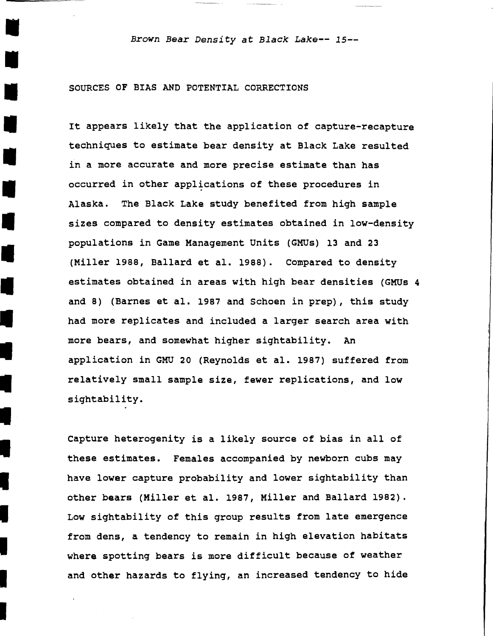I *Brown Bear Density at Black Lake-- 15-*

#### SOURCES OF BIAS AND POTENTIAL CORRECTIONS

I

I

•

I

I

I

I

I

I

•

It appears likely that the application of capture-recapture techniques to estimate bear density at Black Lake resulted<br>in a more accurate and more precise estimate than has occurred in other applications of these procedures in Alaska. The Black Lake study benefited from high sample sizes compared to density estimates obtained in low-density • populations in Game Management Units (GMUs) 13 and 23 (Miller 1988, Ballard et al. 1988). Compared to density • estimates obtained in areas with high bear densities (GMUs 4 and 8) (Barnes et al. 1987 and Schoen in prep), this study had more replicates and included a larger search area with more bears, and somewhat higher sightability. An<br>Application in GMU 20 (Reynolds et al. 1987) suffered from relatively small sample size, fewer replications, and low sightability.

Capture heterogenity is a likely source of bias in all of these estimates. Females accompanied by newborn cubs may have lower capture probability and lower sightability than other bears (Miller et al. 1987, Miller and Ballard 1982). Low sightability of this group results from late emergence from dens, a tendency to remain in high elevation habitats where spotting bears is more difficult because of weather and other hazards to flying, an increased tendency to hide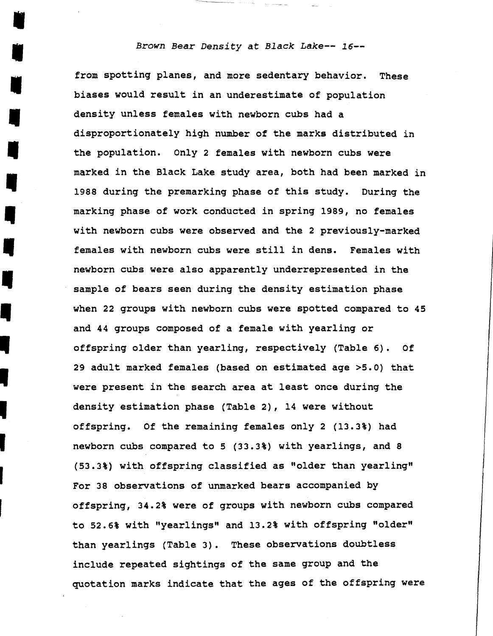#### Brown Bear Density at Black Lake-- 16--

from spotting planes, and more sedentary behavior. These biases would result in an underestimate of population density unless females with newborn cubs had a disproportionately high number of the marks distributed in the population. Only 2 females with newborn cubs were marked in the Black Lake study area, both had been marked in 1988 during the premarking phase of this study. During the<br>
marking phase of work conducted in spring 1989, no females<br>
with newborn cubs were observed and the 2 previously-marked marking phase of work conducted in spring 1989, no females<br>
with newborn cubs were observed and the 2 previously-marked<br>
females with newborn cubs were still in dens. Females with other and the still in dens. Females with a very series were also apparently underrepresented in the sample of bears seen during the density estimation phase newborn cubs were also apparently underrepresented in the sample of bears seen during the density estimation phase when 22 groups with newborn cubs were spotted compared to and 44 groups composed of a female with yearling when 22 groups with newborn cubs were spotted compared to 45 offspring older than yearling, respectively (Table 6). Of 29 adult marked females (based on estimated age >5.0) that were present in the search area at least once during the density estimation phase (Table 2), 14 were without of fspring. Of the remaining females only 2 (13.3%) had density estimation phase (Table 2), 14 were without<br>
offspring. Of the remaining females only 2 (13.3%) had<br>
newborn cubs compared to 5 (33.3%) with yearlings, and 8 (53.3%) with offspring classified as "older than yearling"<br>For 38 observations of unmarked bears accompanied by offspring, 34.2% were of groups with newborn cubs compared to 52.6% with "yearlings" and 13.2% with offspring "older" than yearlings (Table 3). These observations doubtless include repeated sightings of the same group and the quotation marks indicate that the ages of the offspring were

ij<br>I

I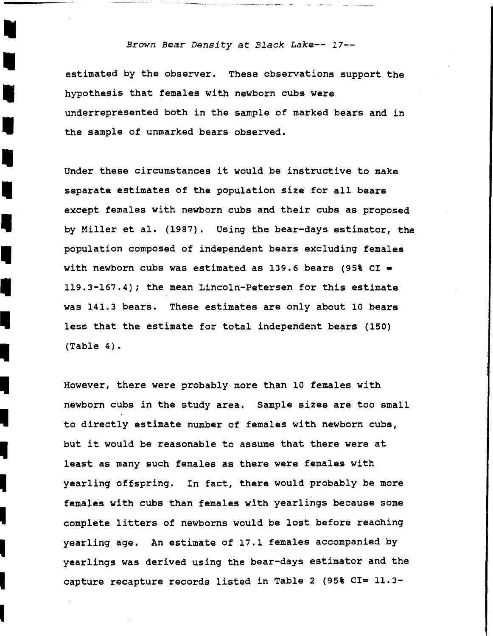## *Brown Bear Density at Black Lake--* 17-

estimated by the observer. These observations support the hypothesis that females with newborn cubs were underrepresented both in the sample of marked bears and in the sample of unmarked bears observed.

 Under these circumstances it would be instructive to make separate estimates of the population size for all bears except females with newborn cubs and their cubs as proposed by Miller et al. (1987). Using the bear-days estimator, the population composed of independent bears excluding females with newborn cubs was estimated as 139.6 bears (95% CI = 119.3-167.4); the mean Lincoln-Petersen for this estimate was 141.3 bears. These estimates are only about 10 bears less that the estimate for total independent bears (150) (Table 4).

-<br>-<br>-

-<br>-<br>-

-<br>-<br>-

-

-<br>-<br>-

-<br>-<br>-

-<br>|<br>|

-<br>-<br>-

-<br>.<br>.

-<br>-<br>-

-

I

However, there were probably more than 10 females with newborn cubs in the study area. Sample sizes are too small to directly estimate number of females with newborn cubs, but it would be reasonable to assume that there were at least as many such females as there were females with yearling offspring. In fact, there would probably be more females with cubs than females with yearlings because some complete litters of newborns would be lost before reaching<br>yearling age. An estimate of 17.1 females accompanied by yearlings was derived using the bear-days estimator and the capture recapture records listed in Table 2 (95% CI= 11.3-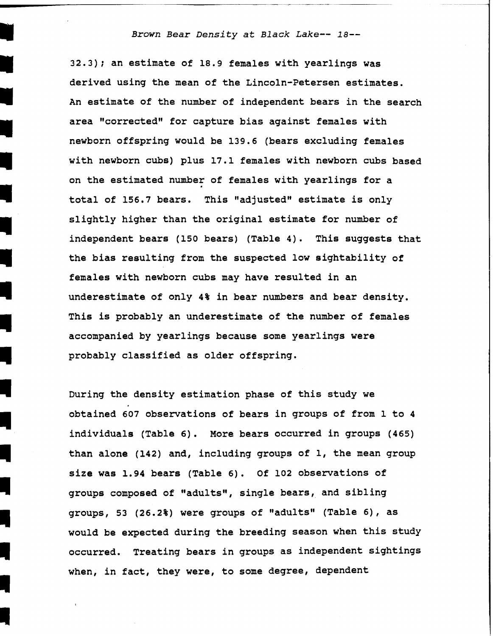#### I *Brown Bear Density at Black Lake-- 18-*

I

I

II

II

**I** 

II

II

II

 32.3); an estimate of 18.9 females with yearlings was derived using the mean of the Lincoln-Petersen estimates. An estimate of the number of independent bears in the search area "corrected" for capture bias against females with newborn offspring would be 139.6 (bears excluding females with newborn cubs) plus 17.1 females with newborn cubs based on the estimated number of females with yearlings for a total of 156.7 bears. This "adjusted" estimate is only slightly higher than the original estimate for number of independent bears (150 bears) (Table 4). This suggests that the bias resulting from the suspected low sightability of females with newborn cubs may have resulted in an underestimate of only 4% in bear numbers and bear density. This is probably an underestimate of the number of females accompanied by yearlings because some yearlings were probably classified as older offspring.

During the density estimation phase of this study we obtained 607 observations of bears in groups of from 1 to 4 individuals (Table 6). More bears occurred in groups (465) than alone (142) and, including groups of  $1$ , the mean group size was 1.94 bears (Table 6). Of 102 observations of groups composed of "adults", single bears, and sibling groups, 53 (26.2%) were groups of "adults" (Table 6), as would be expected during the breeding season when this study occurred. Treating bears in groups as independent sightings when, in fact, they were, to some degree, dependent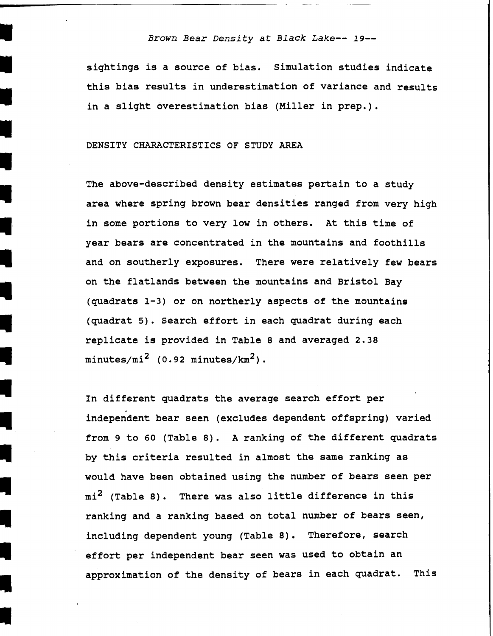#### I *Brown Bear Density at Black Lake-- 19-*

sightings is a source of bias. Simulation studies indicate this bias results in underestimation of variance and results<br>in a slight overestimation bias (Miller in prep.).

## DENSITY CHARACTERISTICS OF STUDY AREA

I

I

II

II

II

II

I,

I

II

II

The above-described density estimates pertain to a study area where spring brown bear densities ranged from very high in some portions to very low in others. At this time of year bears are concentrated in the mountains and foothills and on southerly exposures. There were relatively few bears on the flatlands between the mountains and Bristol Bay (quadrats 1-3) or on northerly aspects of the mountains (quadrat 5). Search effort in each quadrat during each replicate is provided in Table 8 and averaged 2.38  $minutes/mi^2$  (0.92 minutes/ $km^2$ ).

In different quadrats the average search effort per independent bear seen (excludes dependent offspring) varied from 9 to 60 (Table 8). A ranking of the different quadrats by this criteria resulted in almost the same ranking as would have been obtained using the number of bears seen per  $mi^2$  (Table 8). There was also little difference in this ranking and a ranking based on total number of bears seen, including dependent young (Table 8). Therefore, search effort per independent bear seen was used to obtain an approximation of the density of bears in each quadrat. This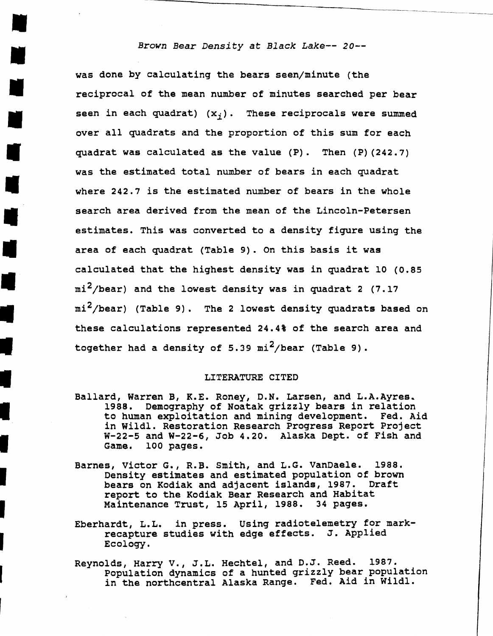## *Brown Bear Density at Black Lake-- 20-*

•

•

•

•

•

•

•

•

•

I

I

I

I

I

I

I

•

was done by calculating the bears seen/minute (the reciprocal of the mean number of minutes searched per bear seen in each quadrat)  $(x_i)$ . These reciprocals were summed over all quadrats and the proportion of this sum for each quadrat was calculated as the value (P). Then (P) (242.7) was the estimated total number of bears in each quadrat where 242.7 is the estimated number of bears in the whole search area derived from the mean of the Lincoln-Petersen estimates. This was converted to a density figure using the area of each quadrat (Table 9). on this basis it was calculated that the highest density was in quadrat 10 (0.85  $mi^2$ /bear) and the lowest density was in quadrat 2 (7.17 mi<sup>2</sup>/bear) (Table 9). The 2 lowest density quadrats based on these calculations represented 24.4% of the search area and together had a density of 5.39  $\text{mi}^2/\text{bear}$  (Table 9).

#### LITERATURE CITED

- Ballard, Warren B, R.E. Roney, D.N. Larsen, and L.A.Ayres. 1988. Demography of Noatak grizzly bears in relation to human exploitation and mining development. Fed. Aid in Wildl. Restoration Research Progress Report Project  $W-22-5$  and  $W-22-6$ , Job 4.20. Alaska Dept. of Fish and Game. 100 pages. 100 pages.
- Barnes, Victor G., R.B. Smith, and L.G. VanDaele. 1988. Density estimates and estimated population of brown bears on Rodiak and adjacent islands, 1987. Draft report to the Kodiak Bear Research and Habitat Maintenance Trust, 15 April, 1988.
- Eberhardt, L.L. in press. Using radiotelemetry for markrecapture studies with edge effects. J. Applied Ecology.
- Reynolds, Harry v., J.L. Hechtel, and D.J. Reed. 1987. Population dynamics of a hunted grizzly bear population in the northcentral Alaska Range. Fed. Aid in Wildl.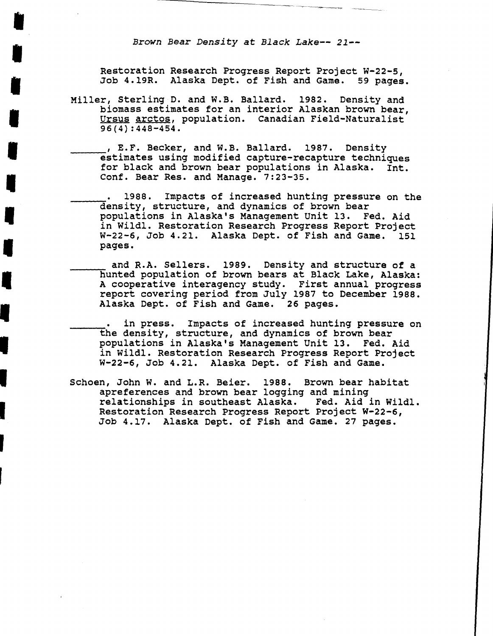*Brown Bear Density at Black Lake-- 21-*

**i** 

**i** 

**i** 

**i** 

**i** 

**i** 

**I** 

**I** 

'

'<br>'<br>'

I

I

**r** 

Restoration Research Progress Report Project W-22-5, Job 4.19R. Alaska Dept. of Fish and Game. 59 pages.

Miller, Sterling D. and W.B. Ballard. 1982. Density and biomass estimates for an interior Alaskan brown bear, Ursus arctos, population. canadian Field-Naturalist 96(4) :448-454.

 $e$ , E.F. Becker, and W.B. Ballard. 1987. Density estimates using modified capture-recapture techniques for black and brown bear populations in Alaska. Int. Conf. Bear Res. and Manage. 7:23-35.

• 1988. Impacts of increased hunting pressure on the ------=density, structure, and dynamics of brown bear populations in Alaska's Management Unit 13. Fed. Aid in Wildl. Restoration Research Progress Report Project<br>W-22-6, Job 4.21. Alaska Dept. of Fish and Game. 151 W-22-6, Job 4.21. Alaska Dept. of Fish and Game. pages.

and R.A. Sellers. 1989. Density and structure of a hunted population of brown bears at Black Lake, Alaska: A cooperative interagency study. First annual progress report covering period from July 1987 to December 1988. Alaska Dept. of Fish and Game. 26 pages.

in press. Impacts of increased hunting pressure on the density, structure, and dynamics of brown bear populations in Alaska's Management Unit 13. Fed. Aid in Wildl. Restoration Research Progress Report Project W-22-6, Job 4.21. Alaska Dept. of Fish and Game.

Schoen, John w. and L.R. Beier. 1988. Brown bear habitat apreferences and brown bear logging and mining relationships in southeast Alaska. Fed. Aid in Wildl. Restoration Research Progress Report Project W-22-6, Job 4.17. Alaska Dept. of Fish and Game. 27 pages.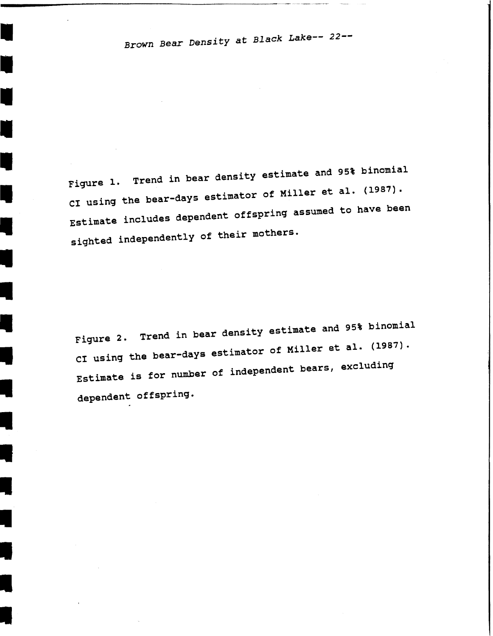I

I

I.

-<br>-<br>-

•

•

•

•

•

•<br>•<br>•

-<br>-<br>-

I

I

I

I

•

 Fiqure 1. Trend in bear density estimate and 95% binomial CI using the bear-days estimator of Miller et al. (1987). Estimate includes dependent offspring assumed to have been sighted independently of their mothers.

Figure 2. Trend in bear density estimate and 95% binomial CI using the bear-days estimator of Miller et al. (1987). Estimate is for number of independent bears, excluding dependent offspring.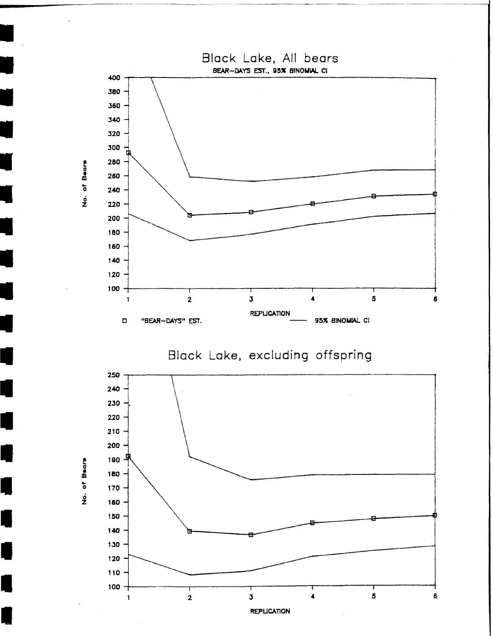

 $\overline{\phantom{a}}$ 

L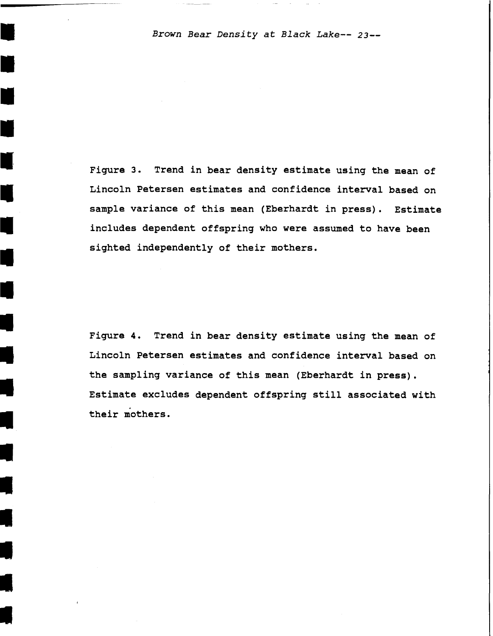I *Brown Bear Density at Black Lake-- 23-*

I

I

I

I

I

I

I

I

I

I

I

I

I

I

I,

**I** 

•

 $\ddot{\bullet}$ 

Figure 3. Trend in bear density estimate using the mean of Lincoln Petersen estimates and confidence interval based on sample variance of this mean (Eberhardt in press). Estimate includes dependent offspring who were assumed to have been sighted independently of their mothers.

Figure 4. Trend in bear density estimate using the mean of Lincoln Petersen estimates and confidence interval based on the sampling variance of this mean (Eberhardt in press). Estimate excludes dependent offspring still associated with their mothers.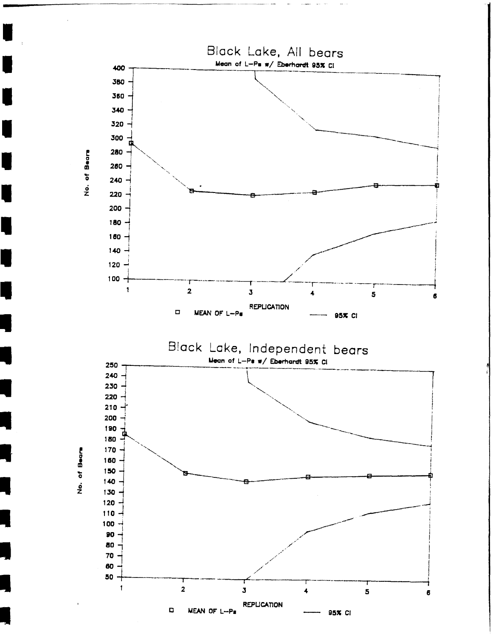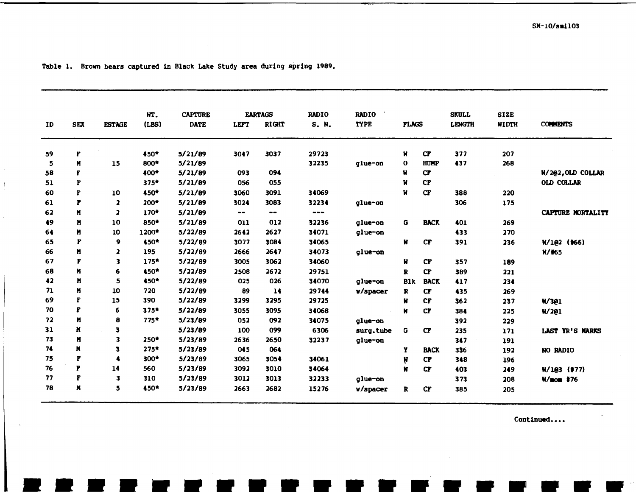|    |     |                         | WT.    | <b>CAPTURE</b> |       | <b>EARTAGS</b>   | <b>RADIO</b>  | <b>RADIO</b> |              |                  | <b>SKULL</b>  | <b>SIZE</b> |                   |
|----|-----|-------------------------|--------|----------------|-------|------------------|---------------|--------------|--------------|------------------|---------------|-------------|-------------------|
| ID | SEX | <b>ESTAGE</b>           | (LBS)  | <b>DATE</b>    | LEFT  | <b>RIGHT</b>     | S. N.         | <b>TYPE</b>  | <b>FLAGS</b> |                  | <b>LENGTH</b> | WIDTH       | <b>COMMENTS</b>   |
| 59 | P   |                         | 450*   | 5/21/89        | 3047  | 3037             | 29723         |              | Ħ            | $C\mathbf{F}$    | 377           | 207         |                   |
| 5  | N   | 15                      | 800*   | 5/21/89        |       |                  | 32235         | glue-on      | $\mathbf o$  | HUMP             | 437           | 268         |                   |
| 58 | F   |                         | 400*   | 5/21/89        | 093   | 094              |               |              | W            | $C\overline{r}$  |               |             | W/202, OLD COLLAR |
| 51 | F   |                         | $375*$ | 5/21/89        | 056   | 055              |               |              | Ħ            | C <sub>F</sub>   |               |             | <b>OLD COLLAR</b> |
| 60 | F   | 10                      | 450*   | 5/21/89        | 3060  | 3091             | 34069         |              | Ħ            | CF               | 388           | 220         |                   |
| 61 | F   | $\overline{\mathbf{2}}$ | $200*$ | 5/21/89        | 3024  | 3083             | 32234         | glue-on      |              |                  | 306           | 175         |                   |
| 62 | N   | $\overline{\mathbf{z}}$ | 170*   | 5/21/89        | $- -$ | $\bullet\bullet$ | $\frac{1}{2}$ |              |              |                  |               |             | CAPTURE MORTALITY |
| 49 | N   | 10                      | 850*   | 5/21/89        | 011   | 012              | 32236         | glue-on      | G            | <b>BACK</b>      | 401           | 269         |                   |
| 64 | N   | 10                      | 1200*  | 5/22/89        | 2642  | 2627             | 34071         | glue-on      |              |                  | 433           | 270         |                   |
| 65 | F   | 9                       | 450*   | 5/22/89        | 3077  | 3084             | 34065         |              | Ħ            | $C_{\mathbf{F}}$ | 391           | 236         | W/102 (#66)       |
| 66 | M   | $\overline{\mathbf{z}}$ | 195    | 5/22/89        | 2666  | 2647             | 34073         | glue-on      |              |                  |               |             | $H/$ #65          |
| 67 | F   | $\overline{\mathbf{3}}$ | $175*$ | 5/22/89        | 3005  | 3062             | 34060         |              | Ħ            | $C\mathbf{F}$    | 357           | 189         |                   |
| 68 | М   | 6                       | 450*   | 5/22/89        | 2508  | 2672             | 29751         |              | R            | cr               | 389           | 221         |                   |
| 42 | N   | 5                       | 450*   | 5/22/89        | 025   | 026              | 34070         | glue-on      | <b>Blk</b>   | <b>BACK</b>      | 417           | 234         |                   |
| 71 | N   | 10                      | 720    | 5/22/89        | 89    | 14               | 29744         | w/spacer     | R            | $C\overline{r}$  | 435           | 269         |                   |
| 69 | F   | 15                      | 390    | 5/22/89        | 3299  | 3295             | 29725         |              | Ħ            | <b>CF</b>        | 362           | 237         | W/301             |
| 70 | P   | 6                       | $375*$ | 5/22/89        | 3055  | 3095             | 34068         |              | Ħ            | $C\mathbf{F}$    | 384           | 225         | W/2@1             |
| 72 | M   | 8                       | $775*$ | 5/23/89        | 052   | 092              | 34075         | glue-on      |              |                  | 392           | 229         |                   |
| 31 | Ħ   | 3                       |        | 5/23/89        | 100   | 099              | 6306          | surg.tube    | G            | $C\mathbf{F}$    | 235           | 171         | LAST YR'S MARKS   |
| 73 | н   | 3                       | $250*$ | 5/23/89        | 2636  | 2650             | 32237         | glue-on      |              |                  | 347           | 191         |                   |
| 74 | N   | 3                       | $275*$ | 5/23/89        | 045   | 064              |               |              | Y            | <b>BACK</b>      | 336           | 192         | NO RADIO          |
| 75 | F   | A                       | 300*   | 5/23/89        | 3065  | 3054             | 34061         |              | μ            | <b>CP</b>        | 348           | 196         |                   |
| 76 | P   | 14                      | 560    | 5/23/89        | 3092  | 3010             | 34064         |              | н            | cr               | 403           | 249         | W/1@3 (#77)       |
| 77 | F   | 3                       | 310    | 5/23/89        | 3012  | 3013             | 32233         | glue-on      |              |                  | 373           | 208         | <b>W/mom</b> #76  |
| 78 | N   | 5                       | 450*   | 5/23/89        | 2663  | 2682             | 15276         | w/spacer     | $\mathbf{R}$ | $C_{\mathbf{F}}$ | 385           | 205         |                   |

Table 1. Brown bears captured in Black Lake Study area during spring 1989.

Continued....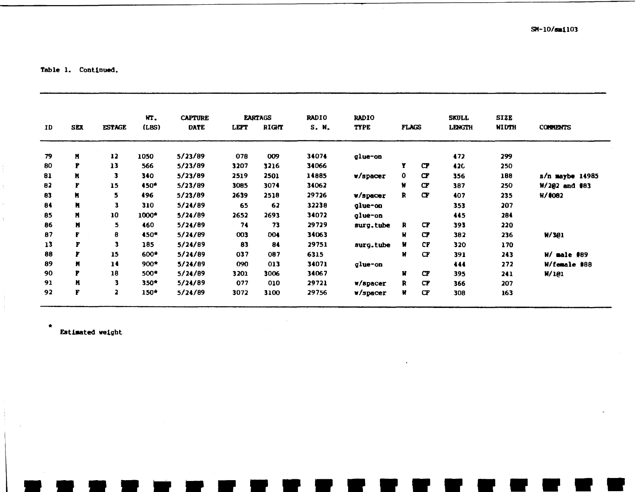$SM-10/5m1103$ 

Table 1. Continued.

| ID | <b>SEX</b>     | <b>ESTAGE</b>  | HT.<br>(LBS) | <b>CAPTURE</b><br><b>DATE</b> | LETT | <b>EARTAGS</b><br>RIGHT | <b>RADIO</b><br>S. N. | <b>RADIO</b><br><b>TYPE</b> | <b>FLAGS</b> |                 | SKULL<br>LENGTH | <b>SIZE</b><br><b>WIDTH</b> | <b>COMMENTS</b> |
|----|----------------|----------------|--------------|-------------------------------|------|-------------------------|-----------------------|-----------------------------|--------------|-----------------|-----------------|-----------------------------|-----------------|
| 79 | N              | 12             | 1050         | 5/23/89                       | 078  | 009                     | 34074                 | glue-on                     |              |                 | 472             | 299                         |                 |
| 80 | P              | 13             | 566          | 5/23/89                       | 3207 | 3216                    | 34066                 |                             | Y            | <b>CP</b>       | <b>420</b>      | 250                         |                 |
| 81 | N              | з              | 340          | 5/23/89                       | 2519 | 2501                    | 14885                 | w/spacer                    | 0            | $\sigma$        | 356             | 188                         | s/n maybe 14985 |
| 82 | F              | 15             | $450*$       | 5/23/89                       | 3085 | 3074                    | 34062                 |                             | Ħ            | $\sigma$        | 387             | 250                         | $W/202$ and #83 |
| 83 | N              | 5.             | 496          | 5/23/89                       | 2639 | 2518                    | 29726                 | V/space                     | R            | $\sigma$        | 407             | 235                         | $H/$ #082       |
| 84 | N              | 3              | 310          | 5/24/89                       | 65   | 62                      | 32238                 | glue-on                     |              |                 | 353             | 207                         |                 |
| 85 | N              | 10             | $1000*$      | 5/24/89                       | 2652 | 2693                    | 34072                 | glue-on                     |              |                 | 445             | 284                         |                 |
| 86 | M              | 5.             | 460          | 5/24/89                       | 74   | 73                      | 29729                 | surg.tube                   | R            | $C\overline{F}$ | 393             | 220                         |                 |
| 87 | F              | 8              | 450*         | 5/24/89                       | 003  | 004                     | 34063                 |                             | Ħ            | $\mathbf{C}$    | 382             | 236                         | M/301           |
| 13 | F              | з              | 185          | 5/24/89                       | 83   | 84                      | 29751                 | surg.tube                   | Ħ            | <b>CF</b>       | 320             | 170                         |                 |
| 88 | r              | 15             | $600*$       | 5/24/89                       | 037  | 087                     | 6315                  |                             | И            | $C\ddot{r}$     | 391             | 243                         | W/ male<br>#89  |
| 89 | $\blacksquare$ | 14             | $900*$       | 5/24/89                       | 090  | 013                     | 34071                 | glue-on                     |              |                 | 444             | 272                         | W/female #88    |
| 90 | P              | 18             | $500*$       | 5/24/89                       | 3201 | 3006                    | 34067                 |                             | Ħ            | $\sigma$        | 395             | 241                         | W/101           |
| 91 | M              | 3              | $350*$       | 5/24/89                       | 077  | 010                     | 29721                 | w/spacer                    | R            | <b>CP</b>       | 366             | 207                         |                 |
| 92 | F              | $\overline{a}$ | $150*$       | 5/24/89                       | 3072 | 3100                    | 29756                 | w/spacer                    | Ħ            | $\mathbf{C}$    | 308             | 163                         |                 |

Estimated weight

 $\blacksquare$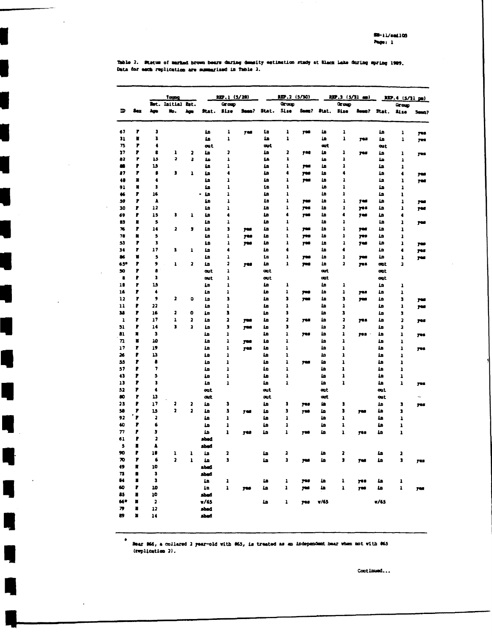Table 2. Statum of marked brown bears during demailty estimation study at Black Lake during spring 1989,<br>Data for each replication are summarized in Table 2.

|                          |                |                           | Toung                        |                         |                   | REP.1 (5/28)                 |            |                                       | <b>EP.2 (5/30)</b>                      |            |            | $\frac{1}{2}$ , $\frac{1}{2}$ , $\frac{1}{2}$ , $\frac{1}{2}$ , $\frac{1}{2}$ |            |             | $MD.4$ (5/11 pm)        |           |
|--------------------------|----------------|---------------------------|------------------------------|-------------------------|-------------------|------------------------------|------------|---------------------------------------|-----------------------------------------|------------|------------|-------------------------------------------------------------------------------|------------|-------------|-------------------------|-----------|
|                          |                |                           | Bot. Initial Est.            |                         |                   | Group                        |            |                                       | Group                                   |            |            | Group                                                                         |            |             | Group                   |           |
| D                        | 8ez            | Ago                       | ۳p.                          | Ago.                    | Stat.             | 3130                         | Seen?      | Stat.                                 | <b>Size</b>                             | Sean?      | Stat.      | Size                                                                          |            | Seen? Stat. | <b>ALso</b>             | 5002      |
| 67                       | ,              | J                         |                              |                         | ها                | 1                            | 766        | ٤a                                    | 1                                       | 708        | 10         | ı                                                                             |            | ها          | ı                       | 795       |
| 31                       | r              | ı                         |                              |                         | ĹD                | ı                            |            | 1n                                    | ı                                       |            | £          | ı                                                                             | 703        | 10          | 1                       | 708       |
| 75                       | P              | 4                         |                              |                         | out               |                              |            | щt                                    |                                         |            | art        |                                                                               |            | cut         |                         |           |
| 27                       | P              | 8                         | 1                            | 2                       | 10                | ,                            |            | 10                                    | 2                                       | 748        | 1n         | ı                                                                             | 765        | ها          | ı                       | yes.      |
| 82                       | ۲              | 15                        | 2                            | 3                       | 10                | $\mathbf{I}$                 |            | 1h                                    | ı                                       |            | 10         | ı                                                                             |            | ها          | $\mathbf{1}$            |           |
| æ                        | P              | 15                        |                              |                         | 10                | ı                            |            | 10                                    | $\mathbf{I}$                            | yes        | 10         | ı                                                                             |            | ٤n          | ı                       |           |
| 87                       | P              | ß                         | 3                            | ı                       | ٤n                | $\ddot{\phantom{a}}$         |            | ٤D                                    | $\bullet$                               | yes        | هه         | 4                                                                             |            | ٤n          | ٠                       | yu        |
| 48                       | Ľ<br>N         | $\bullet$                 |                              |                         | ها                | $\mathbf{1}$<br>$\mathbf{I}$ |            | ها<br>1n                              | ı<br>ı                                  | yes        | 1n<br>10   | ı<br>ı                                                                        |            | ها          | ı                       | yes       |
| 91<br>46                 | P              | 3<br>16                   |                              |                         | ها<br>ما -        | 1                            |            | ها                                    | ı                                       |            | 10         | ı                                                                             |            | ها<br>10    | ı<br>$\mathbf{I}$       |           |
| 59                       | P              | A                         |                              |                         | ۵D                | ı                            |            | 1n                                    | ı                                       | <b>yes</b> | ۵b         | ı                                                                             | 765        | ها          | $\mathbf{I}$            | 74        |
| 30                       | P              | 12                        |                              |                         | ها                | ı                            |            | ٤n                                    | ı                                       | yes.       | 10         | ı                                                                             | 788        | ٤n          | ı                       | yes       |
| 69                       | ₽              | 15                        | 3                            | ı                       | ها                | 4                            |            | ها                                    | 4                                       | 708        | ٤n         | 4                                                                             | 795        | ٤D          | ٠                       |           |
| â3                       | r              | 5                         |                              |                         | 10                | 1                            |            | ها                                    | ı                                       |            | 10         | ı                                                                             |            | 1n          | ı                       | yas       |
| 76                       | P              | 14                        | 2                            | J                       | 1n                | $\overline{\phantom{a}}$     | <b>yes</b> | 10                                    | ı                                       | yes        | ها         | ı                                                                             | 768        | ĹB          | 1                       |           |
| 78                       | n              | 5                         |                              |                         | 10                | ı                            | 748        | Łn                                    | ı                                       | 799        | ها         | ı                                                                             | 789        | 10          | ı                       |           |
| 53                       | P              | $\overline{\mathbf{3}}$   |                              |                         | 10                | $\mathbf{I}$                 | yes        | ها                                    | ı                                       | <b>yes</b> | ها         | ı                                                                             | 708        | ها          | ı                       | 799       |
| 34                       | r              | 17                        | 1                            | ı                       | ٤n                | 4                            |            | 10                                    | 4                                       |            | 10         | 4                                                                             |            | 10          | ٠                       | yes       |
| 86                       | Ľ              | 5                         |                              |                         | 1n                | 1                            |            | ٤n                                    | ı                                       | yes        | ها         | ı                                                                             | 798        | ها          | ı                       | yw.       |
| 65*<br>50                | P<br>P         | 9<br>å                    | ı                            | 2                       | 57                | 3<br>1                       | 748        | ها                                    | ı                                       | 700        | 1n<br>out. | 2                                                                             | 798        | œt          | $\overline{\mathbf{a}}$ |           |
| 8                        | ₽              | 3                         |                              |                         | out<br><b>DAL</b> | ı                            |            | aut<br>out                            |                                         |            | ont.       |                                                                               |            | out<br>out  |                         |           |
| 18                       | P              | 15                        |                              |                         | ٤n                | ı                            |            | ها                                    | ı                                       |            | ها         | 1                                                                             |            | ها          | 1                       |           |
| 16                       | r              | ٠                         |                              |                         | 1n                | ı                            |            | ٤D                                    | ı                                       | 708        | ٤D         | ı                                                                             | yes        | 40          | ı                       |           |
| 12                       | r              | 9                         | 2                            | ۰                       | ها                | J.                           |            | ٤n                                    | 3                                       | yes        | ها         | 3                                                                             | <b>yes</b> | 10          | 3                       | 7W        |
| 11                       | ₽              | 22                        |                              |                         | 10                | ı                            |            | 57                                    | $\mathbf{1}$                            |            | ها         | ı                                                                             |            | ها          | ı                       | <b>TW</b> |
| 38                       | ,              | 16                        | 3                            | O                       | Łn                | ı                            |            | ها                                    | 3                                       |            | ها         | 3                                                                             |            | ٤n          | 3                       |           |
| 1                        | P              | 17                        | ı                            | $\overline{\mathbf{z}}$ | 1n                | $\overline{\mathbf{z}}$      | 700        | 1n                                    | $\overline{\mathbf{z}}$                 | 703        | هد         | 2                                                                             | yes        | 1n          | 2                       | yes       |
| 51                       | P              | 14                        | ä,                           | $\overline{\mathbf{a}}$ | ها                | 3                            | 700        | ٤n                                    | J                                       |            | L۵         | 2                                                                             |            | ٤n          | 2                       |           |
| 81                       | N              | $\overline{\phantom{a}}$  |                              |                         | ٤n                | $\mathbf{I}$                 |            | 12                                    | $\overline{\mathbf{1}}$                 | 768        | ها         | 1                                                                             | 702        | 10          | ı                       | yes       |
| $\overline{\bf n}$       | п              | 10                        |                              |                         | 48                | ı                            | 700        | 10                                    | $\mathbf{1}$                            |            | 10         | ı                                                                             |            | 10          | ı                       |           |
| 17                       | 7              | 19                        |                              |                         | 12                | ı                            | 768        | ها                                    | ı                                       |            | مه         | ı                                                                             |            | ٤n          | ı                       | yes       |
| 26<br>55                 | ₽<br>P         | 13<br>ā                   |                              |                         | 10                | ı                            |            | ها<br>ها                              | ı<br>1                                  |            | Ł۵<br>٤n   | ı                                                                             |            | ٤n<br>عا    | ı                       |           |
| 57                       | ₽              | 7                         |                              |                         | ها<br>10          | 1<br>$\mathbf{1}$            |            | 1n                                    | ı                                       | yes        | Ła         | ı<br>ı                                                                        |            | ها          | ı<br>ı                  |           |
| 43                       | P              | 5                         |                              |                         | ÅB.               | ı                            |            | 10                                    | ı                                       |            | ها         | ı                                                                             |            | ها          | 1                       |           |
| 13                       | P              | 3                         |                              |                         | 10                | $\mathbf{I}$                 |            | هه                                    | 1                                       |            | 10         | ı                                                                             |            | 10          | 1                       | yes.      |
| 52                       | P              | $\bullet$                 |                              |                         | out               |                              |            | out                                   |                                         |            | out        |                                                                               |            | out         |                         |           |
| $\bullet$                | r              | 13                        |                              |                         | <b>ast</b>        |                              |            | out                                   |                                         |            | art        |                                                                               |            | <b>out</b>  |                         |           |
| 23                       | P              | 17                        | 3                            | 2                       | ٤n                | $\overline{\mathbf{3}}$      |            | 10                                    | 3                                       | 745        | 18         | 3                                                                             |            | in          | 3                       | yes       |
| 58                       | ,              | 15                        | $\overline{\mathbf{z}}$      | 2                       | 1n                | 1                            | 746        | ها                                    | 3                                       | 708        | ٤n         | 3                                                                             | yes        | ها          | 3                       |           |
| 92                       | r              | ä                         |                              |                         | 1n                | ı                            |            | ĹD                                    | $\mathbf{I}$                            |            | Łn         | 1                                                                             |            | ها          | 1                       |           |
| 40                       | ,              | 6                         |                              |                         | <b>La</b>         | $\mathbf{I}$                 |            | ها                                    | ı                                       |            | Łn         | ı                                                                             |            | ها          | ı                       |           |
| $\overline{ }$           | ₽              | J                         |                              |                         | ٤n                | ı                            | 748        | هه                                    | 1                                       | <b>yes</b> | هه         | $\mathbf{I}$                                                                  | 703        | ٤n          | ı                       |           |
| 61                       | P              | 2                         |                              |                         | shed              |                              |            |                                       |                                         |            |            |                                                                               |            |             |                         |           |
| э<br>90                  | ш<br>₽         | А<br>10                   |                              |                         | abad              |                              |            |                                       |                                         |            |            |                                                                               |            |             |                         |           |
| 70                       | 7              | 6                         | ı<br>$\overline{\mathbf{z}}$ | ı<br>$\mathbf{I}$       | Ła<br>in.         | 2<br>3                       |            | $\pmb{\underline{\mathbf{u}}}$<br>٤n. | $\overline{\mathbf{a}}$<br>$\mathbf{J}$ | 766        | ها<br>£h   | 2<br>J.                                                                       | 746        | ٤n<br>1n    | a<br>3                  | yes       |
| 49                       | п              | 10                        |                              |                         | shed              |                              |            |                                       |                                         |            |            |                                                                               |            |             |                         |           |
| $\mathbf{r}$             | ٠              | $\pmb{\mathsf{s}}$        |                              |                         | shed              |                              |            |                                       |                                         |            |            |                                                                               |            |             |                         |           |
| $\pmb{\mathsf{u}}$       | $\blacksquare$ | 3                         |                              |                         | a,                | 1                            |            | u                                     | $\mathbf{1}$                            | 748        | ها         | ı                                                                             | yes.       | ٤n          | ı                       |           |
| 60                       | ₽              | 10                        |                              |                         | in.               | $\mathbf{I}$                 | yes        | ها                                    | $\mathbf{1}$                            | yas        | a)         | $\mathbf{1}$                                                                  | yes        | ها.         | $\pmb{\mathsf{1}}$      | 793       |
| 85                       | U              | 10                        |                              |                         | <b>hads</b>       |                              |            |                                       |                                         |            |            |                                                                               |            |             |                         |           |
| 66*                      | п              | $\overline{\mathbf{2}}$ . |                              |                         | V/65              |                              |            | ۵D.                                   | $\mathbf{1}$                            | yes        | V/63       |                                                                               |            | v/65        |                         |           |
| $\overline{\phantom{a}}$ | u              | 17                        |                              |                         | shed              |                              |            |                                       |                                         |            |            |                                                                               |            |             |                         |           |
| 89                       | п              | 14                        |                              |                         | shed              |                              |            |                                       |                                         |            |            |                                                                               |            |             |                         |           |

 $\bullet$ Bear 866, a collared 2 year-old with 865, is treated as an independent hear when not with 865 (replication 2).

 $\mathcal{A}$ 

 $\overline{\phantom{a}}$ 

Continued...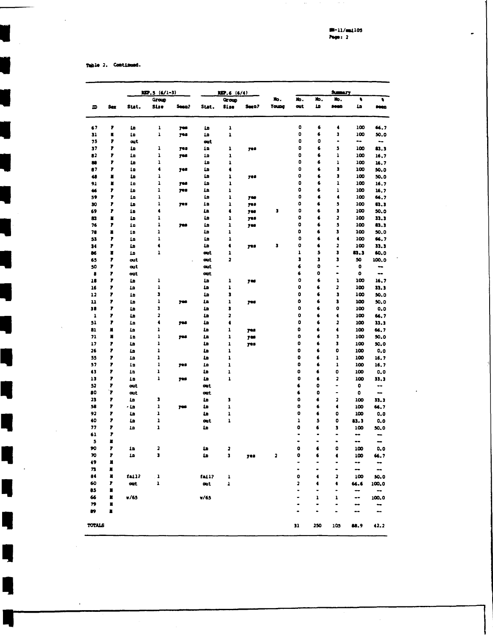$\overline{a}$ 

Table 2. Continued.

L,

Ŋ

Ŋ

Ę

Ę

ï

|          |                |                             | $LIP.5 (6/1-3)$  |            |                 | RIP, 6 (6/4)   |                |                         |                |                      | <b>SUBATY</b>                |            |                          |
|----------|----------------|-----------------------------|------------------|------------|-----------------|----------------|----------------|-------------------------|----------------|----------------------|------------------------------|------------|--------------------------|
|          |                |                             | Group            |            |                 | Group          |                | Xo.                     | Жo.            | Жo,                  | њ.                           | $\bullet$  | ٠                        |
| m        | Sex            | Stat.                       | Sise             | Seen?      | Stat.           | Si ze          | Seen?          | <b>Young</b>            | out            | 10                   | 5000                         | 1n         | <b>Seco</b>              |
| 67       | ,              | 10                          | ı                | yes        | 'n              | ı              |                |                         | 0              | 6                    | $\bullet$                    | 100        | 66.7                     |
| 31       | N              | 10                          | $\mathbf{1}$     | 748        | 10              | $\mathbf{1}$   |                |                         | $\bullet$      | 6                    | $\overline{\mathbf{3}}$      | 100        | 50.0                     |
| 75       | 7              | <b>out</b>                  |                  |            | out.            |                |                |                         | 0              | 0                    | $\bullet$                    | ⊷          | $\overline{\phantom{a}}$ |
| 37       | 7              | 1n                          | ı                | <b>yes</b> | 10              | ı              | 728            |                         | $\bullet$      | 6                    | 5                            | 100        | 83.3                     |
| 82       | F              | 1n                          | ı                | yes        | 10              | ı              |                |                         | $\bullet$      | 6                    | 1                            | 100        | 16.7                     |
| æ        | F              | ٤D                          | ı                |            | ها              | $\mathbf 1$    |                |                         | $\bullet$      | 6                    | $\mathbf 1$                  | 100        | 16.7                     |
| 87       | F              | 1n                          | ٠                | yes        | 1n              | $\bullet$      |                |                         | 0              | 6                    | 3                            | 100        | 50.0                     |
| 48       | п              | 1n                          | ı<br>$\mathbf 1$ |            | 1n              | ı              | 705            |                         | 0<br>o         | 6<br>6               | 3<br>ı                       | 100        | 50.0                     |
| 91       | ×<br>F         | 1 <sub>D</sub><br><b>LD</b> | ı                | yes<br>yes | 10<br><b>La</b> | 1<br>ı         |                |                         | 0              | 6                    | $\mathbf 1$                  | 100<br>100 | 16.7                     |
| 46<br>59 | 7              | ٤n                          | ı                |            | ٤n              | ı              | 700            |                         | 0              | 6                    | $\bullet$                    | 100        | 16.7<br>66.7             |
| 30       | ,              | <b>in</b>                   | ı                | 705        | 1a              | ı              | <b>yes</b>     |                         | 0              | 6                    | 5                            | 100        | $\mathbf{u}$ .           |
| 69       | ,              | 12                          | $\bullet$        |            | 12              | 4              | <b>yes</b>     | J                       | o              | 6                    | J,                           | 100        | 50.0                     |
| 83       | п              | 10                          | ı                |            | 1n              | ı              | yes            |                         | $\bullet$      | 6                    | $\overline{\mathbf{z}}$      | 100        | 33.3                     |
| 76       | ,              | 1 <sub>n</sub>              | 1                | 788        | 1n              | ı              | <b>yes</b>     |                         | $\bullet$      | 6                    | 5                            | 100        | 83.3                     |
| 78       | $\blacksquare$ | 10                          | 1                |            | 1n              | ı              |                |                         | o              | 6                    | J                            | 100        | 50.0                     |
| 53       | ,              | ٤n                          | ı                |            | 1n              | ı              |                |                         | $\bullet$      | 6                    | $\bullet$                    | 100        | 66.7                     |
| 34       | 7              | ٤n                          | $\blacklozenge$  |            | 1a              | $\bullet$      | yes            | J                       | $\bullet$      | $\bullet$            | 2                            | 100        | 33.3                     |
| 86       | ×              | 10                          | 1                |            | out             | ı              |                |                         | ı              | 5                    | 3                            | 83.3       | 60.0                     |
| 65       | ,              | out                         |                  |            | out             | 2              |                |                         | 3              | J,                   | 3                            | 50         | 100.0                    |
| 50       | ,              | <b>out</b>                  |                  |            | out             |                |                |                         | 6              | $\bullet$            | $\blacksquare$               | 0          | --                       |
| 8        | $\mathbf{r}$   | out                         |                  |            | out             |                |                |                         | 6              | $\bullet$            | $\qquad \qquad \blacksquare$ | $\bullet$  | ⊷                        |
| 18       | 7              | ٤D                          | ı                |            | Ŀ               | 1              | 7 <sup>0</sup> |                         | 0              | 6                    | ı                            | 100        | 16,7                     |
| 16       | ,              | 10                          | ı                |            | <b>LD</b>       | ı              |                |                         | 0              | 6                    | 3                            | 100        | 33.3                     |
| 12       | 7              | 10                          | 3                |            | <b>in</b>       | 3              |                |                         | o              | 6                    | 3                            | 100        | 50.0                     |
| 11       | 7              | ها                          | 1                | yes        | ٤a              | ı              | 708            |                         | $\bullet$<br>O | 6                    | 3                            | 100        | 50.0                     |
| 38       | ,              | ها                          | 3<br>2           |            | 1n              | 3              |                |                         | $\bullet$      | 6<br>6               | 0                            | 100        | 0.0                      |
| 1        | ,<br>,         | ها                          | $\blacklozenge$  |            | 1n<br>1n        | 2<br>$\bullet$ |                |                         | $\bullet$      | 6                    | $\bullet$<br>2               | 100        | 66.7                     |
| 51<br>81 | N              | 1n<br>1n                    | ı                | 798        | 10              | ı              |                |                         | 0              | 6                    | $\blacklozenge$              | 100<br>100 | 33.3<br>66.7             |
| 71       | п              | 10                          | ı                | <b>Tes</b> | 12              | ı              | yes<br>768     |                         | $\bullet$      | 6                    | 3                            | 100        | 50.0                     |
| 17       | ,              | 10                          | ı                |            | £               | ı              | yes            |                         | 0              | 6                    | $\overline{\phantom{a}}$     | 100        | 50.0                     |
| 26       | 1              | in                          | ı                |            | ها              | $\mathbf{1}$   |                |                         | 0              | 6                    | 0                            | 100        | 0.0                      |
| 55       | 7              | 10                          | ı                |            | 10              | 1              |                |                         | 0              | 6                    | ı                            | 100        | 16.7                     |
| 57       | 1              | 12                          | I                | <b>yes</b> | 10              | $\mathbf 1$    |                |                         | 0              | 6                    | 1                            | 100        | 16.7                     |
| 43       | 1              | 10                          | ı                |            | 40              | 1              |                |                         | o              | 6                    | 0                            | 100        | 0.0                      |
| 13       | 7              | 10                          | ı                | yes        | 1n              | 1              |                |                         | o              | 6                    | 2                            | 100        | 33.3                     |
| 52       | 1              | out                         |                  |            | out             |                |                |                         | 6              | $\bullet$            | $\blacksquare$               | 0          | ۰.                       |
| 80       | 7              | <b>out</b>                  |                  |            | out             |                |                |                         | 6              | o                    |                              | 0          | -                        |
| 23       | ,              | Ŀ                           | 3                |            | 10              | J              |                |                         | 0              | 6                    | $\overline{\mathbf{z}}$      | 100        | 33.3                     |
| 58       | 7              | هه -                        | $\mathbf 1$      | 708        | 10              | 1              |                |                         | 0              | 6                    | $\blacklozenge$              | 100        | 66.7                     |
| 92       | ,              | <b>in</b>                   | ı                |            | 10              | $\mathbf 1$    |                |                         | 0              | 6                    | $\bullet$                    | 100        | 0.0                      |
| 40       | ,              | ٤D                          | ı                |            | œt              | 1              |                |                         | $\mathbf{I}$   | 5                    | 0                            | 83.3       | 0.0                      |
| 77       | ,<br>r         | ها                          | ı                |            | 1n              |                |                |                         | 0              | 6<br>-               | 3<br>-                       | 100        | 50.0                     |
| 61       | ×              |                             |                  |            |                 |                |                |                         |                | $\bullet$            | ۰                            | --<br>--   | -<br>--                  |
| 5<br>90  | ,              | 12                          | 2                |            | ۵L              | 2              |                |                         | 0              | 6                    | 0                            | 100        | 0.0                      |
| 70       | 7              | 10                          | J                |            | <b>LD</b>       | 3              | yes            | $\overline{\mathbf{a}}$ | 0              | 6                    | ٠                            | 100        | 66.7                     |
| 49       | п              |                             |                  |            |                 |                |                |                         | ٠              |                      | $\blacksquare$               | ⊷          | ⊷                        |
| 73       | п              |                             |                  |            |                 |                |                |                         | $\bullet$      | $\bullet$            | ۰                            | --         | --                       |
| 84       | п              | fail?                       | $\mathbf 1$      |            | fai1?           | ı              |                |                         | $\bullet$      | $\blacktriangleleft$ | 2                            | 100        | 50.0                     |
| 60       | ,              | out                         | ı                |            | out             | 1              |                |                         | 2              | ٠                    | ٠                            | 66.6       | 100.0                    |
| 85       | ۳              |                             |                  |            |                 |                |                |                         | $\bullet$      | ٠                    |                              |            |                          |
| 66       | ĸ              | v/65                        |                  |            | V/65            |                |                |                         |                | ı                    | ı                            | --         | 100.0                    |
| 79       | п              |                             |                  |            |                 |                |                |                         | ۰              |                      | ۰                            | --         |                          |
| 89       | Ľ              |                             |                  |            |                 |                |                |                         |                |                      |                              |            | --                       |
| TOTALS   |                |                             |                  |            |                 |                |                |                         | 31             | 250                  | 105                          | 88.9       | 42.2                     |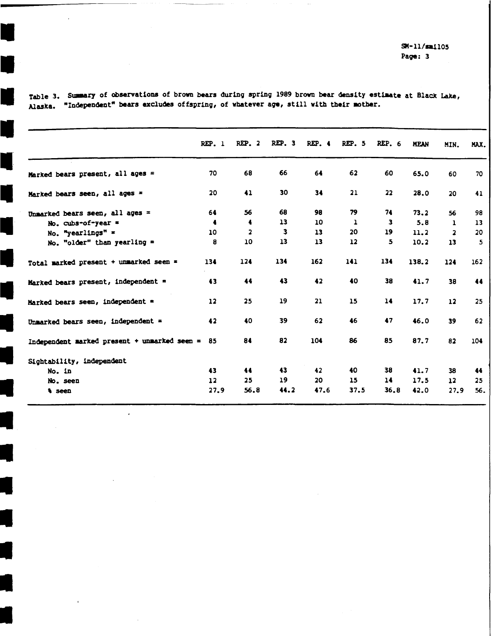$SM-11/sm1105$ Page: 3

|                                              | REP.1          | $REP.$ 2        | REP. 3 | REP.4 | REP. 5       | <b>REP. 6</b> | <b>MEAN</b> | MIN.                    | MAX. |
|----------------------------------------------|----------------|-----------------|--------|-------|--------------|---------------|-------------|-------------------------|------|
| Marked bears present, all ages =             | 70             | 68              | 66     | 64    | 62           | 60            | 65.0        | 60                      | 70   |
| Marked bears seen, all ages =                | 20             | 41              | 30     | 34    | 21           | 22            | 28.0        | 20                      | 41   |
| Unmarked bears seen, all ages =              | 64             | 56              | 68     | 98    | 79           | 74            | 73.2        | 56                      | 98   |
| No. cubs-of-year =                           | 4              | 4               | 13     | 10    | $\mathbf{1}$ | 3             | 5.8         | $\mathbf{1}$            | 13   |
| No. "yearlings" =                            | 10             | 2               | 3      | 13    | 20           | 19            | 11.2        | $\overline{\mathbf{2}}$ | 20   |
| No. "older" than yearling $=$                | 8              | 10              | 13     | 13    | 12           | 5             | 10.2        | 13                      | 5    |
| Total marked present + unmarked seen =       | 134            | 124             | 134    | 162   | 141          | 134           | 138.2       | $124$                   | 162  |
| Marked bears present, independent =          | 43             | 44              | 43     | 42    | 40           | 38            | 41.7        | 38                      | 44   |
| Marked bears seen, independent =             | 12             | 25              | 19     | 21    | 15           | 14            | 17.7        | 12                      | 25   |
| Unmarked bears seen, independent =           | 42             | 40              | 39     | 62    | 46           | 47            | 46.0        | 39                      | 62   |
| Independent marked present + unmarked seen = | 85             | 84              | 82     | 104   | 86           | 85            | 87.7        | 82                      | 104  |
| Sightability, independent                    |                |                 |        |       |              |               |             |                         |      |
| No. in                                       | 43             | 44              | 43     | 42    | 40           | 38            | 41.7        | 38                      | 44   |
| No. seen                                     | $\frac{12}{2}$ | 25 <sub>1</sub> | 19     | 20    | 15           | 14            | 17.5        | 12                      | 25   |
| <i><b>A</b></i> seen                         | 27.9           | 56.8            | 44.2   | 47.6  | 37.5         | 36.8          | 42.0        | 27.9                    | 56.  |

Table 3. Summary of observations of brown bears during spring 1989 brown bear density estimate at Black Lake, Alaska. "Independent" bears excludes offspring, of whatever age, still with their mother.

 $\mathbf{r}$ 

н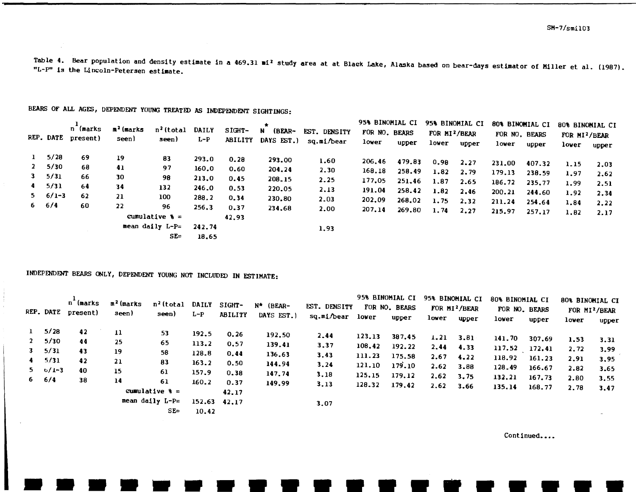Table 4. Bear population and density estimate in a 469.31 mi<sup>2</sup> study area at at Black Lake, Alaska based on bear-days estimator of Miller et al. (1987). "L-P" is the Lincoln-Petersen estimate.

|              |                 | n (marks           |                |                             |         |                | $\star$                |              | 95% BINOMIAL CI |        |                           | 95% BINOMIAL CI | 80% BINOMIAL CI |        | 80% BINOMIAL CI           |       |
|--------------|-----------------|--------------------|----------------|-----------------------------|---------|----------------|------------------------|--------------|-----------------|--------|---------------------------|-----------------|-----------------|--------|---------------------------|-------|
|              |                 | REP. DATE present) | $n^{2}$ (marks | n <sup>2</sup> (total DAILY |         | SIGHT-         | $\mathbf{N}$<br>(BEAR- | EST. DENSITY | FOR NO. BEARS   |        | FOR MI <sup>2</sup> /BEAR |                 | FOR NO. BEARS   |        | FOR MI <sup>2</sup> /BEAR |       |
|              |                 |                    | seen)          | seen)                       | $L - P$ | <b>ABILITY</b> | DAYS EST.)             | sq.mi/bear   | lower           | upper  | lower                     | upper           | lower           | upper  | lower                     | upper |
| $\mathbf{1}$ | 5/28            | 69                 | 19             | 83                          | 293.0   | 0.28           | 293.00                 | 1.60         | 206.46          | 479.83 | 0.98                      | 2.27            | 231.00          | 407.32 |                           |       |
|              | 2, 5/30         | 68                 | 41             | 97                          | 160.0   | 0.60           | 204.24                 | 2.30         | 168.18          | 258.49 |                           |                 |                 |        | 1.15                      | 2.03  |
|              | 3, 5/31         | 66                 | 30             | 98                          | 213.0   | 0.45           | 208.15                 | 2.25         |                 |        | 1.82                      | 2,79            | 179.13          | 238.59 | 1.97                      | 2.62  |
|              | $4$ $5/31$      | -64                | 34             | 132                         | 246.0   |                |                        |              | 177.05          | 251.46 | 1.87                      | 2.65            | 186.72          | 235.77 | 1.99                      | 2.51  |
|              | $5 \quad 6/1-3$ |                    |                |                             |         | 0.53           | 220.05                 | 2.13         | 191.04          | 258.42 | 1.82                      | 2.46            | 200.21          | 244.60 | 1.92                      | 2.34  |
|              |                 | 62                 | 21             | 100                         | 288.2   | 0.34           | 230.80                 | 2.03         | 202.09          | 268.02 | 1.75                      | 2.32            | 211.24          | 254.64 | 1.84                      | 2.22  |
|              | $6 \t 6/4$      | 60                 | 22             | 96                          | 256.3   | 0.37           | 234.68                 | 2.00         | 207.14          | 269.80 | 1.74                      | 2.27            | 215.97          | 257.17 |                           |       |
|              |                 |                    |                | cumulative $\epsilon =$     |         | 42.93          |                        |              |                 |        |                           |                 |                 |        | 1.82                      | 2.17  |
|              |                 |                    |                | mean daily $L - P =$        | 242.74  |                |                        | 1,93         |                 |        |                           |                 |                 |        |                           |       |
|              |                 |                    |                | $SE =$                      | 18.65   |                |                        |              |                 |        |                           |                 |                 |        |                           |       |

BEARS OF ALL AGES, DEPENDENT YOUNG TREATED AS INDEPENDENT SIGHTINGS:

INDEPENDENT BEARS ONLY, DEPENDENT YOUNG NOT INCLUDED IN ESTIMATE:

|              |                   | n (marks<br>REP. DATE present) | m <sup>2</sup> (marks<br>seen) | n <sup>2</sup> (total DAILY<br>seen) | $L-P$                 | <b>SIGHT-</b><br><b>ABILITY</b> | $N^*$ (BEAR- | EST. DENSITY     |        | 95% BINOMIAL CI 95% BINOMIAL CI<br>FOR NO. BEARS |                   | FOR MI <sup>2</sup> /BEAR | 80% BINOMIAL CI<br>FOR NO. BEARS |        | 80% BINOMIAL CI | FOR MI <sup>2</sup> /BEAR |
|--------------|-------------------|--------------------------------|--------------------------------|--------------------------------------|-----------------------|---------------------------------|--------------|------------------|--------|--------------------------------------------------|-------------------|---------------------------|----------------------------------|--------|-----------------|---------------------------|
|              |                   |                                |                                |                                      |                       |                                 | DAYS EST.)   | sq.mi/bear lower |        | upper                                            | lower             | upper                     | lower                            | upper  | lower           | upper                     |
| $\mathbf{1}$ | 5/28              | 42                             | 11                             | 53                                   | 192.5                 | 0.26                            | 192.50       | 2,44             | 123.13 | 387.45                                           | $1.21 \quad 3.81$ |                           |                                  |        |                 |                           |
|              | 2, 5/30           | 44                             | 25                             | 65                                   | 113.2                 | 0.57                            | 139.41       | 3.37             | 108.42 | 192.22                                           | 2,44              |                           | 141.70                           | 307.69 | 1.53            | 3.31                      |
|              | $3 \quad 5/31$    | 43                             | 19                             | 58                                   | 128.8                 | 0.44                            | 136.63       | 3,43             | 111.23 | 175.58                                           |                   | 4.33                      | $117.52$ $172.41$                |        | 2.72            | 3.99                      |
|              | $4 \quad 5/31$    | 42                             | 21                             | 83                                   | 163.2                 | 0.50                            | 144.94       | 3,24             | 121.10 |                                                  | 2.67              | 4.22                      | 118.92                           | 161.23 | 2.91            | 3.95                      |
|              | $5 \frac{6}{1-3}$ | 40                             | 15                             | 61                                   | 157.9                 | 0.38                            | 147.74       |                  |        | 179.10                                           | 2.62              | 3.88                      | 128.49                           | 166.67 | 2.82            | 3.65                      |
|              | 66/4              | 38                             | 14                             | 61                                   | 160.2                 |                                 |              | 3.18             | 125.15 | 179.12                                           | 2.62              | 3.75                      | 132.21                           | 167.73 | 2.80            | 3.55                      |
|              |                   |                                |                                | cumulative $\frac{1}{6}$ =           |                       | 0.37<br>42.17                   | 149.99       | 3.13             | 128.32 | 179.42                                           | 2.62              | 3.66                      | 135.14                           | 168.77 | 2.78            | 3.47                      |
|              |                   |                                |                                | mean daily L-P=<br>$SE =$            | 152.63 42.17<br>10.42 |                                 |              | 3.07             |        |                                                  |                   |                           |                                  |        |                 |                           |

Continued....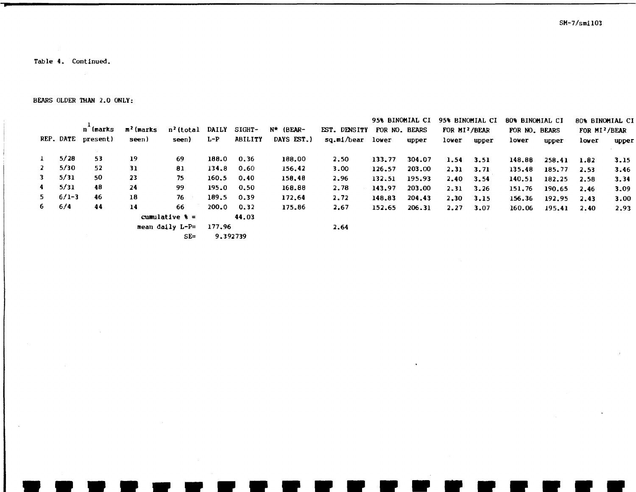SM-7/smi103

•

Table 4. Continued.

BEARS OLDER THAN 2.0 ONLY:

|              |           |          |                       |                         |              |                |            |                  | 95% BINOMIAL CI |        |                           | 95% BINOMIAL CI | <b>BO% BINOMIAL CI</b> |        | 80% BINOMIAL CI           |       |
|--------------|-----------|----------|-----------------------|-------------------------|--------------|----------------|------------|------------------|-----------------|--------|---------------------------|-----------------|------------------------|--------|---------------------------|-------|
|              |           | n (marks | m <sup>2</sup> (marks | n <sup>2</sup> (total   | <b>DAILY</b> | SIGHT-         | N* (BEAR-  | EST. DENSITY     | FOR NO. BEARS   |        | FOR MI <sup>2</sup> /BEAR |                 | FOR NO. BEARS          |        | FOR MI <sup>2</sup> /BEAR |       |
|              | REP. DATE | present) | seen)                 | seen)                   | $L-P$        | <b>ABILITY</b> | DAYS EST.) | sq.mi/bear lower |                 | upper  | lower                     | upper           | lower                  | upper  | lower                     | upper |
| -1           | 5/20      | 53       | 19                    | 69                      | 188.0        | 0.36           | 188.00     | 2.50             | 133.77          | 304.07 | 1.54                      | 3.51            | 148.88                 | 258.41 | 1.82                      | 3.15  |
| $\mathbf{2}$ | 5/30      | 52       | 31                    | 81                      | 134.8        | 0.60           | 156.42     | 3.00             | 126.57          | 203,00 | 2.31                      | 3.71            | 135.48                 | 185.77 | 2.53                      | 3.46  |
| 3.           | 5/31      | 50       | 23                    | 75                      | 160.5        | 0.40           | 158,48     | 2.96             | 132.51          | 195.93 | 2.40                      | 3.54            | 140.51                 | 182.25 | 2.58                      | 3.34  |
| 4            | 5/31      | 48       | 24                    | 99                      | 195.0        | 0.50           | 168.88     | 2.78             | 143.97          | 203.00 | 2.31                      | 3.26            | 151.76                 | 190.65 | 2.46                      | 3.09  |
| 5.           | $6/1-3$   | 46       | 18                    | 76                      | 189.5        | 0.39           | 172.64     | 2.72             | 148.83          | 204.43 | 2.30                      | 3.15            | 156.36                 | 192.95 | 2.43                      | 3.00  |
| 6.           | 6/4       | 44       | 14                    | 66                      | 200.0        | 0.32           | 175.86     | 2,67             | 152.65          | 206.31 | 2.27                      | 3.07            | 160.06                 | 195.41 | 2.40                      | 2.93  |
|              |           |          |                       | cumulative $\epsilon =$ |              | 44.03          |            |                  |                 |        |                           |                 |                        |        |                           |       |
|              |           |          |                       | mean daily L-P=         | 177.96       |                |            | 2.64             |                 |        |                           |                 |                        |        |                           |       |
|              |           |          |                       | $SE =$                  |              | 9.392739       |            |                  |                 |        |                           |                 |                        |        |                           |       |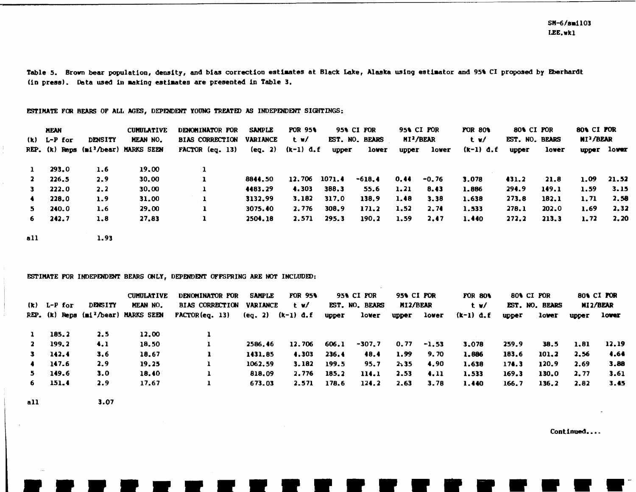Table 5. Brown bear population, density, and bias correction estimates at Black Lake, Alaska using estimator and 95% CI proposed by Eberhardt (in press). Data used in making estimates are presented in Table 3.

#### ESTIMATE FOR BEARS OF ALL AGES, DEPENDENT YOUNG TREATED AS INDEPENDENT SIGHTINGS:

|              | <b>MEAN</b><br>$(k)$ L-P for | <b>DENSITY</b> | <b>CUMULATIVE</b><br><b>MEAN NO.</b>            | <b>DENOMINATOR FOR</b><br>BIAS CORRECTION VARIANCE | <b>SAMPLE</b> | <b>FOR 95%</b><br>– t w∕ |       | 95% CI FOR<br>EST. NO. BEARS |       | 95% CI POR<br>MI <sup>2</sup> /BEAR | <b>FOR 80%</b><br>t w/ | 80% CI FOR<br>EST. NO. BEARS |       | 80% CI FOR<br>MI <sup>2</sup> /BEAR |             |
|--------------|------------------------------|----------------|-------------------------------------------------|----------------------------------------------------|---------------|--------------------------|-------|------------------------------|-------|-------------------------------------|------------------------|------------------------------|-------|-------------------------------------|-------------|
|              |                              |                | REP. $(k)$ Reps $(n1^2/\text{year})$ MARKS SEEN | $FACTOR$ (eq. 13)                                  |               | (eq. 2) (k-1) d.f        | upper | lover                        | upper | lower                               | $(k-1)$ d.f            | upper                        | lower |                                     | upper lower |
| $\mathbf{1}$ | 293.0                        | 1.6            | 19.00                                           |                                                    |               |                          |       |                              |       |                                     |                        |                              |       |                                     |             |
| <b>2</b>     | 226.5                        | 2.9            | 30.00                                           |                                                    | 8844.50       | 12.706 1071.4            |       | $-618.4$                     | 0.44  | -0.76                               | 3,078                  | 431.2                        | 21.8  | 1.09                                | 21.52       |
| 3            | 222.0                        | 2.2            | 30.00                                           | 1                                                  | 4483.29       | 4.303                    | 388.3 | 55.6                         | 1.21  | 8.43                                | 1.886                  | 294.9                        | 149.1 | 1.59                                | 3.15        |
| $\bullet$    | 228.0                        | 1.9            | 31.00                                           | 1                                                  | 3132.99       | 3.182                    | 317.0 | 138.9                        | 1,48  | 3.38                                | 1.638                  | 273.8                        | 182.1 | 1.71                                | 2.58        |
| 5.           | 240.0                        | 1.6            | 29.00                                           | 1                                                  | 3075.40       | 2.776                    | 308.9 | 171.2                        | 1.52  | 2.74                                | 1.533                  | 278.1                        | 202.0 | 1.69                                | 2,32        |
| 6.           | 242.7                        | 1.8            | 27.83                                           | 1                                                  | 2504.18       | 2.571                    | 295.3 | 190.2                        | 1.59  | 2.47                                | 1,440                  | 272.2                        | 213.3 | 1.72                                | 2.20        |
| a11          |                              | 1.93           |                                                 |                                                    |               |                          |       |                              |       |                                     |                        |                              |       |                                     |             |

#### ESTIMATE FOR INDEPENDENT BEARS ONLY, DEPENDENT OFFSPRING ARE NOT INCLUDED:

|              |               |                | <b>CUMULATIVE</b>                                    | <b>DENOMINATOR FOR</b>                    | <b>SAMPLE</b> | <b>FOR 95%</b> |       | <b>95% CI FOR</b> | <b>95% CI POR</b> |               | <b>FOR 80%</b> |              | 80% CI FOR     |      | <b>BOA CI FOR</b> |
|--------------|---------------|----------------|------------------------------------------------------|-------------------------------------------|---------------|----------------|-------|-------------------|-------------------|---------------|----------------|--------------|----------------|------|-------------------|
|              | $(k)$ L-P for | <b>DENSITY</b> | <b>MEAN NO.</b>                                      | <b>BIAS CORRECTION</b>                    | VARIANCE      | t w/           |       | EST. NO. BEARS    | MI2/BEAR          |               | t w/           |              | EST. NO. BEARS |      | MI2/BEAR          |
|              |               |                | REP. $(k)$ Reps $(n \nmid \lambda)$ hear) MARKS SEEN | <b>FACTOR(eq. 13)</b> (eq. 2) $(k-1)$ d.f |               |                | upper | lower             |                   | upper lower   | $(k-1)$ d.f    | <b>upper</b> | lower          |      | upper lower       |
| $\mathbf{1}$ | 185.2         | 2.5            | 12.00                                                |                                           |               |                |       |                   |                   |               |                |              |                |      |                   |
| $\mathbf{2}$ | 199.2         | $\mathbf{4.1}$ | 18.50                                                |                                           | 2586.46       | 12.706         | 606.1 | -307.7            |                   | $0.77 - 1.53$ | 3.078          | 259.9        | 38.5           | 1.81 | 12.19             |
| $\mathbf{3}$ | 142.4         | 3.6            | 18.67                                                |                                           | 1431.85       | 4.303          | 236.4 | 48.4              | 1.99              | 9.70          | 1.886          | 183.6        | 101.2          | 2.56 | 4.64              |
| $\bullet$    | 147.6         | 2.9            | 19.25                                                |                                           | 1062.59       | 3.182          | 199.5 | 95.7              | 2,35              | 4.90          | 1.638          | 174.3        | 120.9          | 2.69 | 3.88              |
| 5.           | 149.6         | 3.0            | 18.40                                                |                                           | 818.09        | 2,776          | 185.2 | 114.1             | 2.53              | 4.11          | 1.533          | 169.3        | 130.0          | 2.77 | 3.61              |
| 6            | 151.4         | 2.9            | 17.67                                                |                                           | 673.03        | 2.571          | 178.6 | 124.2             | 2.63              | 3.78          | 1,440          | 166.7        | 136.2          | 2.82 | 3.45              |

a11

3.07

Continued....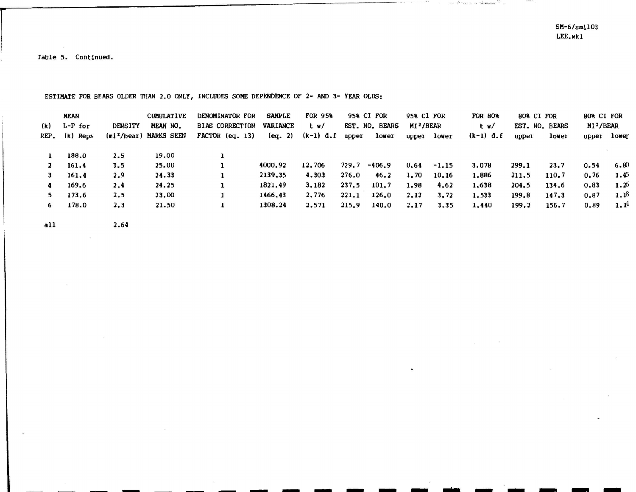SM-6/smil03 LEE.wkl

 $\cos\theta$  ,  $\theta^{\rm N}$  (  $\sin\theta\phi$  ) or ( ) when an  $\theta\phi^{\rm N}$  (  $\theta\phi$  ) and

ALL AND IN

- - - -

Table 5. Continued.

ESTIMATE FOR BEARS OLDER THAN 2.0 ONLY, INCLUDES SOME DEPENDENCE OF 2- AND 3- YEAR OLDS:

- - - - - - - - • • • • • •

|      | <b>MEAN</b> |                | <b>CUMULATIVE</b>                  | DENOMINATOR FOR        | <b>SAMPLE</b>   | <b>FOR 95%</b> |       | 95% CI FOR     | 95% CI FOR            |             | <b>FOR 80%</b> | 80% CI FOR     |       | 80% CI FOR  |      |
|------|-------------|----------------|------------------------------------|------------------------|-----------------|----------------|-------|----------------|-----------------------|-------------|----------------|----------------|-------|-------------|------|
| (k)  | $L-P$ for   | <b>DENSITY</b> | MEAN NO.                           | <b>BIAS CORRECTION</b> | <b>VARIANCE</b> | t w/           |       | EST. NO. BEARS | MI <sup>2</sup> /BEAR |             | t w/           | EST. NO. BEARS |       | $MI^2/BER$  |      |
| REP. | (k) Reps    |                | (mi <sup>2</sup> /bear) MARKS SEEN | $FACTOR$ (eq. 13)      | (eq. 2)         | (k-1) d.f      | upper | lower          |                       | upper lower | $(k-1)$ d.f    | upper          | lower | upper lower |      |
|      |             |                |                                    |                        |                 |                |       |                |                       |             |                |                |       |             |      |
|      | 188.0       | 2.5            | 19.00                              |                        |                 |                |       |                |                       |             |                |                |       |             |      |
|      | 161.4       | 3.5            | 25.00                              |                        | 4000.92         | 12.706         | 729.7 | $-406.9$       | 0.64                  | $-1.15$     | 3.078          | 299.1          | 23.7  | 0.54        | 6.80 |
|      | 161.4       | 2.9            | 24.33                              |                        | 2139.35         | 4.303          | 276.0 | 46.2           | 1.70                  | 10.16       | 1.886          | 211.5          | 110.7 | 0.76        | 1.45 |
|      | 169.6       | 2.4            | 24.25                              |                        | 1821.49         | 3.182          | 237.5 | 101.7          | 1.98                  | 4.62        | 1.638          | 204.5          | 134.6 | 0.83        | 1.26 |
|      | 173.6       | 2.5            | 23.00                              |                        | 1466.43         | 2.776          | 221.1 | 126.0          | 2.12                  | 3.72        | 1.533          | 199.8          | 147.3 | 0.87        | 1.18 |
| 6.   | 178.0       | 2.3            | 21.50                              |                        | 1308.24         | 2.571          | 215.9 | 140.0          | 2.17                  | 3.35        | 1.440          | 199.2          | 156.7 | 0.89        | 1.14 |
|      |             |                |                                    |                        |                 |                |       |                |                       |             |                |                |       |             |      |

 $\cdot$ 

all 2.64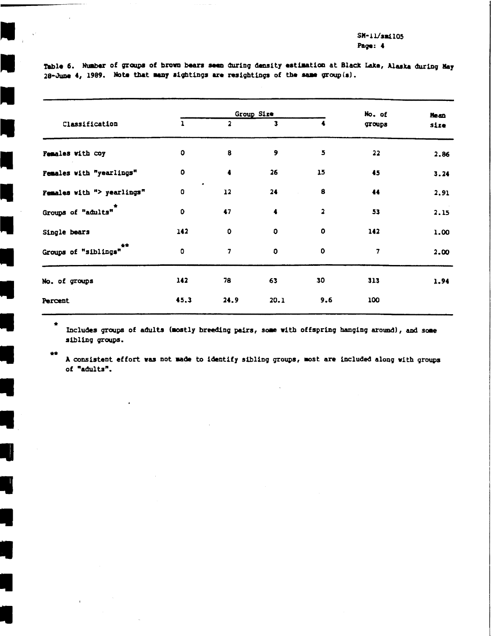Group Size No. of **Hean**  $\overline{1}$ Classification  $\overline{2}$  $\overline{\mathbf{3}}$ 4 groups size Females with coy  $\bullet$ 8 9  $\overline{\mathbf{5}}$ 22 2.86 Females with "yearlings" O  $\ddot{\bullet}$ 26  $15$ 45  $3.24$ Females with "> yearlings"  $\bullet$  $12<sup>°</sup>$  $24$ 8 44 2.91 Groups of "adults"  $\mathbf 0$ 47  $\overline{2}$  $\ddot{\bullet}$ 53  $2.15$  $\bullet$ Single bears 142  $\mathbf{O}$  $\circ$ 142 1.00 Groups of "siblings"  $\bullet$  $\bullet$  $\overline{7}$  $\mathbf{o}$  $\overline{7}$ 2.00 No. of groups 142 78 63 30 313 1.94 100 45.3  $24.9$  $20.1$  $9.6$ Percent

Table 6. Number of groups of brown bears seen during density estimation at Black Lake, Alaska during May 28-June 4, 1989. Note that many sightings are resightings of the same group(s).

 $\bullet$ Includes groups of adults (mostly breeding pairs, some with offspring hanging around), and some sibling groups.

 $\bullet\bullet$ 

A consistent effort was not made to identify sibling groups, most are included along with groups of "adults".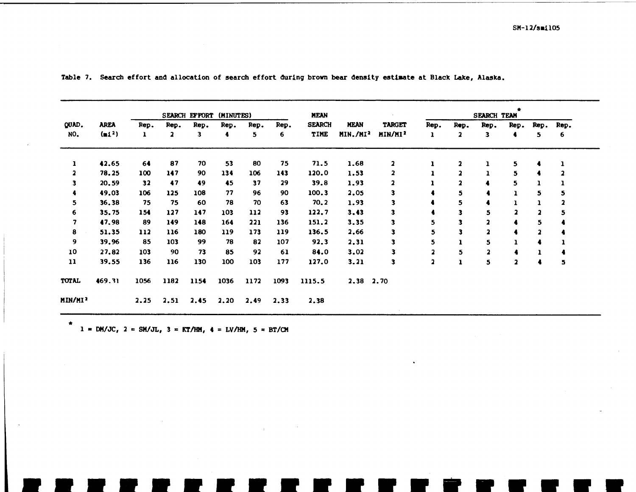|                         |                    |              |      | SEARCH EFFORT | (MINUTES) |      |      | <b>MEAN</b>   |                      |                         |                         |                         | SEARCH TEAM |                         |      |      |
|-------------------------|--------------------|--------------|------|---------------|-----------|------|------|---------------|----------------------|-------------------------|-------------------------|-------------------------|-------------|-------------------------|------|------|
| QUAD.                   | <b>AREA</b>        | Rep.         | Rep. | Rep.          | Rep.      | Rep. | Rep. | <b>SEARCH</b> | <b>MEAN</b>          | <b>TARGET</b>           | Rep.                    | Rep.                    | Rep.        | Rep.                    | Rep. | Rep. |
| NO.                     | (m1 <sup>2</sup> ) | $\mathbf{I}$ | 2    | 3             | 4         | 5.   | 6    | TIME          | MIN./MI <sup>2</sup> | MIN/MI <sup>2</sup>     | 1                       | 2                       | 3           | 4                       | 5.   | 6    |
| $\mathbf{I}$            | 42.65              | 64           | 87   | 70            | 53        | 80   | 75   | 71.5          | 1.68                 | $\overline{\mathbf{z}}$ |                         |                         |             | 5                       |      |      |
| $\overline{\mathbf{z}}$ | 78.25              | 100          | 147  | 90            | 134       | 106  | 143  | 120.0         | 1.53                 | $\mathbf{2}$            |                         | $\overline{\mathbf{a}}$ |             | 5                       |      |      |
| 3                       | 20.59              | 32           | 47   | 49            | 45        | 37   | 29   | 39.8          | 1.93                 |                         |                         | າ                       |             | 5                       |      |      |
|                         | 49.03              | 106          | 125  | 108           | 77        | 96   | 90   | 100.3         | 2.05                 | 3                       |                         | 5                       |             | 1                       | 5.   | C    |
| 5.                      | 36.38              | 75           | 75   | 60            | 78        | 70   | 63   | 70.2          | 1.93                 |                         |                         | 5                       |             |                         |      |      |
| 6                       | 35.75              | 154          | 127  | 147           | 103       | 112  | 93   | 122.7         | 3.43                 |                         |                         | 3                       | 5           |                         | 2    | 5    |
| 7                       | 47.98              | 89           | 149  | 148           | 164       | 221  | 136  | 151.2         | 3.35                 |                         | 5                       | 3                       |             |                         | 5    |      |
| 8                       | 51.35              | 112          | 116  | 180           | 119       | 173  | 119  | 136.5         | 2.66                 |                         | 5                       | 3                       |             |                         |      |      |
| 9                       | 39.96              | 85           | 103  | 99            | 78        | 82   | 107  | 92.3          | 2.31                 | 3                       | 5                       |                         | 5           |                         |      |      |
| 10                      | 27.82              | 103          | 90   | 73            | 85        | 92   | 61   | 84.0          | 3.02                 | 3                       | $\overline{\mathbf{z}}$ | 5                       | 2           |                         |      |      |
| $\mathbf{u}$            | 39.55              | 136          | 116  | 130           | 100       | 103  | 177  | 127.0         | 3.21                 | 3                       | $\overline{2}$          |                         | 5           | $\overline{\mathbf{2}}$ |      | 5    |
| <b>TOTAL</b>            | 469.31             | 1056         | 1182 | 1154          | 1036      | 1172 | 1093 | 1115.5        | 2.38                 | 2.70                    |                         |                         |             |                         |      |      |
| MIN/MI <sup>2</sup>     |                    | 2.25         | 2.51 | 2.45          | 2.20      | 2.49 | 2.33 | 2.38          |                      |                         |                         |                         |             |                         |      |      |

Table 7. Search effort and allocation of search effort during brown bear density estimate at Black Lake, Alaska.

\* 1 = DM/JC, 2 = SM/JL, 3 = KT/HM, 4 = LV/HM, 5 = BT/CM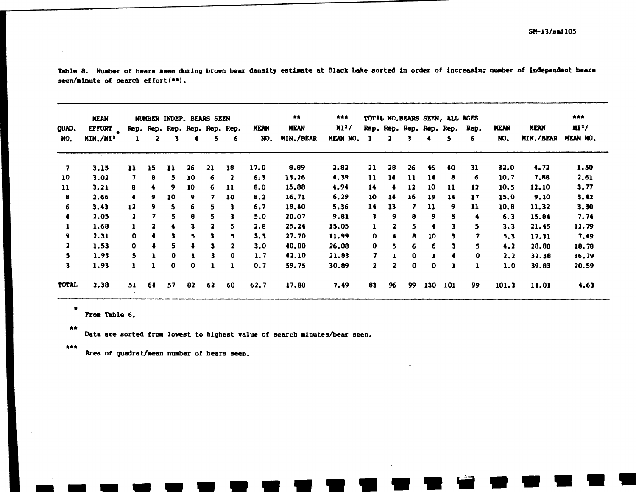| QUAD.<br>NO. | <b>MEAN</b><br>EF FORT<br>MIN./MI <sup>1</sup> | NUMBER INDEP. BEARS SEEN |    |              |    |                                     |                         |                    | 青青                       | ***                 |                         |         |                          | TOTAL NO.BEARS SEEN, ALL AGES |     |      |             |             | ***            |
|--------------|------------------------------------------------|--------------------------|----|--------------|----|-------------------------------------|-------------------------|--------------------|--------------------------|---------------------|-------------------------|---------|--------------------------|-------------------------------|-----|------|-------------|-------------|----------------|
|              |                                                |                          |    |              |    | Rep. Rep. Rep. Rep. Rep. Rep.<br>5. |                         | <b>MEAN</b><br>NO. | <b>MEAN</b><br>MIN./BEAR | $MI^2/$<br>MEAN NO. |                         |         | Rep. Rep. Rep. Rep. Rep. |                               |     | Rep. | <b>HEAN</b> | <b>MEAN</b> | M <sub>3</sub> |
|              |                                                |                          |    | 3            |    |                                     | 6                       |                    |                          |                     | -1                      | 2<br>з. | 4                        | 5                             | 6   | NO.  | MIN./BEAR   | MEAN NO.    |                |
| 7            | 3.15                                           | 11                       | 15 | $\mathbf{u}$ | 26 | 21                                  | 18                      | 17.0               | 8.89                     | 2.82                | 21                      | 28      | 26                       | 46                            | 40  | 31   | 32.0        | 4.72        | 1.50           |
| 10           | 3.02                                           | 7                        | 8  | 5.           | 10 | 6                                   |                         | 6.3                | 13.26                    | 4.39                | 11                      | 14      | $\mathbf{u}$             | 14                            | 8   | 6    | 10.7        | 7.88        | 2.61           |
| 11           | 3.21                                           | 8                        | 4  | 9            | 10 | 6                                   | 11                      | 8.0                | 15.88                    | 4.94                | 14                      |         | 12                       | 10                            | 11  | 12   | 10, 5       | 12,10       | 3.77           |
| 8            | 2.66                                           | $\bullet$                | 9  | 10           | 9  | 7                                   | 10                      | 8.2                | 16.71                    | 6,29                | 10                      | 14      | 16                       | 19                            | 14  | 17   | 15.0        | 9.10        | 3.42           |
| 6            | 3.43                                           | 12                       | 9  | 5.           | 6  | 5                                   | 3.                      | 6.7                | 18,40                    | 5.36                | 14                      | 13      | 7                        | 11                            | 9.  | 11   | 10.8        | 11.32       | 3.30           |
| $\bullet$    | 2.05                                           | $\overline{\mathbf{z}}$  | 7  | 5.           | 8  | 5                                   | 3                       | 5.0                | 20.07                    | 9.81                | 3                       | 9       | 8                        | 9                             | 5   |      | 6.3         | 15.84       | 7.74           |
|              | 1.68                                           | ı                        | 2  |              | 3  | $\overline{\mathbf{z}}$             | 5.                      | 2.8                | 25.24                    | 15,05               | 1                       |         | 5                        |                               | 3   | 5.   | 3.3         | 21.45       | 12.79          |
| 9.           | 2.31                                           | 0                        |    |              | 5  | 3                                   | 5.                      | 3.3                | 27.70                    | 11.99               | 0                       |         | 8                        | 10                            | 3.  | 7    | 5.3         | 17.31       | 7.49           |
| $\mathbf{z}$ | 1.53                                           | 0                        |    |              | 4  | з                                   | $\overline{\mathbf{z}}$ | 3.0                | 40.00                    | 26.08               | $\mathbf{0}$            | 5.      | 6                        | 6                             | 3   | 5    | 4.2         | 28.80       | 18.78          |
| 5            | 1.93                                           | 5.                       |    | 0            | ı  | 3                                   | 0                       | 1.7                | 42.10                    | 21.83               | 7                       |         | 0                        |                               |     | 0    | 2.2         | 32.38       | 16.79          |
| 3            | 1.93                                           | ı                        |    | 0            | 0  |                                     |                         | 0.7                | 59.75                    | 30.89               | $\overline{\mathbf{z}}$ |         | $\bf{0}$                 | 0                             |     | 1    | 1.0         | 39.83       | 20.59          |
| <b>TOTAL</b> | 2,38                                           | 51                       | 64 | 57           | 82 | 62                                  | 60                      | 62.7               | 17.80                    | 7.49                | 83                      | 96      | 99                       | 130                           | 101 | 99   | 101.3       | 11.01       | 4.63           |

Table 8. Number of bears seen during brown bear density estimate at Black Lake sorted in order of increasing number of independent bears seen/minute of search effort $(**)$ .

From Table 6.

 $\bigtriangleup$ 

 $\hat{\mathbf{r}}$ 

Data are sorted from lowest to highest value of search minutes/bear seen.

\*\*\*

Area of quadrat/mean number of bears seen.